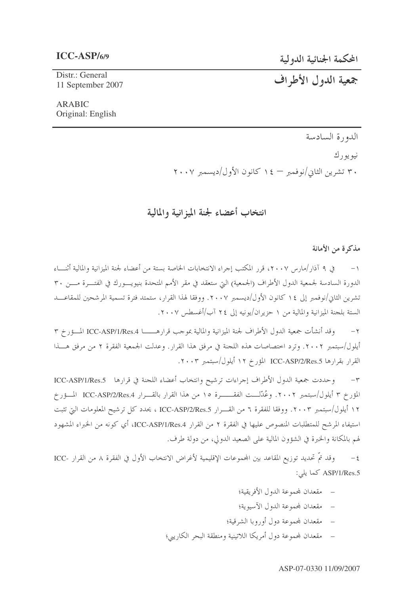المحكمة الجنائية الدولية

Distr.: General 11 September 2007

# جمعية الدول الأطراف

#### **ARABIC** Original: English

الدورة السادسة

نيويورك ۳۰ تشرین الثانی/نوفمبر — ۱٤ کانون الأول/دیسمبر ۲۰۰۷

# انتخاب أعضاء لجنة الميزانية والمالية

#### مذكرة من الأمانة

١– في ٩ آذار /مارس ٢٠٠٧، قرر المكتب إجراء الانتخابات الخاصة بستة من أعضاء لجنة الميزانية والمالية أثنـــاء الدورة السادسة لجمعية الدول الأطراف (الجمعية) التي ستعقد في مقر الأمم المتحدة بنيويـــورك في الفتـــرة مــــن ٣٠ تشرين الثاني/نوفمبر إلى ١٤ كانون الأول/ديسمبر ٢٠٠٧. ووفقا لهذا القرار، ستمتد فترة تسمية المرشحين للمقاعـــد الستة بلجنة الميزانية والمالية من ١ حزيران/يونيه إلى ٢٤ آب/أغسطس ٢٠٠٧.

وقد أنشأت جمعية الدول الأطراف لجنة الميزانية والمالية بموجب قرارهـــــــــا ICC-ASP/1/Res.4 المــــؤرخ ٣  $-7$ أيلول/سبتمبر ٢٠٠٢. وترد اختصاصات هذه اللجنة في مرفق هذا القرار. وعدلت الجمعية الفقرة ٢ من مرفق هـــذا القرار بقرارها ICC-ASP/2/Res.5 المؤرخ ١٢ أيلول/سبتمبر ٢٠٠٣.

وحددت جمعية الدول الأطراف إجراءات ترشيح وانتخاب أعضاء اللجنة في قرارها ICC-ASP/1/Res.5  $-\tau$ المؤرخ ٣ أيلول/سبتمبر ٢٠٠٢. وعُدّلـــت الفقـــــــرة ١٥ من هذا القرار بالقــــرار ICC-ASP/2/Res.4 المـــؤرخ ١٢ أيلول/سبتمبر ٢٠٠٣. ووفقا للفقرة ٦ من القـــرار ICC-ASP/2/Res.5 ، يحدد كل ترشيح المعلومات التي تثبت استيفاء المرشح للمتطلبات المنصوص عليها في الفقرة ٢ من القرار ICC-ASP/1/Res.4، أي كونه من الخبراء المشهود لهم بالمكانة والخبرة في الشؤون المالية على الصعيد الدولي، من دولة طرف.

وقد تمَّ تحديد توزيع المقاعد بين المجموعات الإقليمية لأغراض الانتخاب الأول في الفقرة ٨ من القرار -ICC  $-\xi$ ASP/1/Res.5 كما يلي:

- مقعدان لمحموعة الدول الأفريقية؛
- مقعدان لمجموعة الدول الآسيوية؛
- مقعدان لمحموعة دول أوروبا الشرقية؛
- مقعدان لمحموعة دول أمريكا اللاتينية ومنطقة البحر الكاريبي؛

#### ASP-07-0330 11/09/2007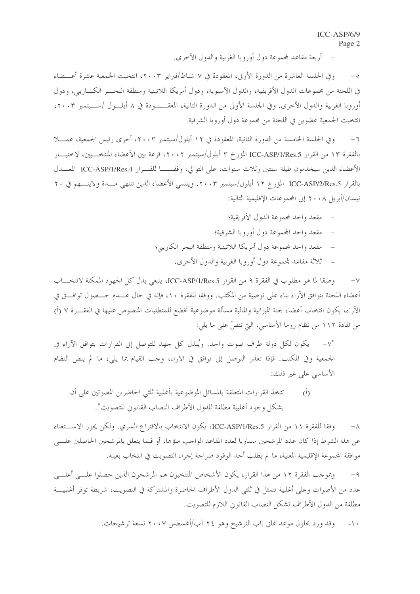أربعة مقاعد لمحموعة دول أوروبا الغربية والدول الأخرى.

وفي الجلسة العاشرة من الدورة الأولى، المعقودة في ٧ شباط/فبراير ٢٠٠٣، انتخبت الجمعية عشرة أعـــضاء  $-\circ$ في اللجنة من مجموعات الدول الأفريقية، والدول الآسيوية، ودول أمريكا اللاتينية ومنطقة البحـــر الكــــاريبي، ودول أوروبا الغربية والدول الأخرى. وفي الجلسة الأولى من الدورة الثانية، المعقـــــودة في ٨ أيلـــول /ســـبتمبر ٢٠٠٣، انتخبت الجمعية عضوين في اللجنة من محموعة دول أوروبا الشرقية.

وفي الجلسة الخامسة من الدورة الثانية، المعقودة في ١٢ أيلول/سبتمبر ٢٠٠٣، أجرى رئيس الجمعية، عمــــلا  $-7$ بالفقرة ١٣ من القرار ICC-ASP/1/Res.5 المؤرخ ٣ أيلول/سبتمبر ٢٠٠٢، قرعة بين الأعضاء المنتخـــبين، لاختيـــار الأعضاء الذين سيخدمون طيلة سنتين وثلاث سنوات، على التوالي، وفقـــــا للقـــرار ICC-ASP/1/Res.4 المعـــدل بالقرار ICC-ASP/2/Res.5 المؤرخ ١٢ أيلول/سبتمبر ٢٠٠٣. وينتمي الأعضاء الذين تنتهي مـــدة ولايتـــهم في ٢٠ نيسان/أبريل ٢٠٠٨ إلى المحموعات الإقليمية التالية:

- مقعد واحد لمحموعة الدول الأفريقية؛
- مقعد واحد المحموعة دول أوروبا الشرقية؛
- مقعد واحد لمحموعة دول أمريكا اللاتينية ومنطقة البحر الكاريبي؛
	- ثلاثة مقاعد لمحموعة دول أوروبا الغربية والدول الأحرى.

وطبقًا لما هو مطلوب في الفقرة ٩ من القرار ICC-ASP/1/Res.5، ينبغي بذل كل الجهود الممكنة لانتخــــاب  $-\vee$ أعضاء اللحنة بتوافق الآراء بناء على توصية من المكتب. ووفقا للفقرة ١٠، فإنه في حال عــــدم حــــصول توافــــق في الآراء، يكون انتخاب أعضاء لجنة الميزانية والمالية مسألة موضوعية تخضع للمتطلبات المنصوص عليها في الفقــــرة ٧ (أ) من المادة ١١٢ من نظام روما الأساسي، التي تنصُّ على ما يلي:

"v- \_ يكون لكل دولة طرف صوت واحد. ويُبذل كل جهد للتوصل إلى القرارات بتوافق الآراء في الجمعية وفي المكتب. فإذا تعذَّر التوصل إلى توافق في الآراء، وجب القيام بما يلي، ما لم ينص النظام الأساسي على غير ذلك:

تتخذ القرارات المتعلقة بالمسائل الموضوعية بأغلبية ثلثي الحاضرين المصوتين على أن  $\langle \hat{L} \rangle$ يشكل وجود أغلبية مطلقة للدول الأطراف النصاب القانوين للتصويت".

وفقا للفقرة ١١ من القرار ICC-ASP/1/Res.5، يكون الانتخاب بالاقتراع السري. ولكن يجوز الاستغناء  $-\lambda$ عن هذا الشرط إذا كان عدد المرشحين مساويا لعدد المقاعد الواحب ملؤها، أو فيما يتعلق بالمرشحين الحاصلين علــــى موافقة المحموعة الإقليمية المعنية، ما لم يطلب أحد الوفود صراحة إجراء التصويت في انتخاب بعينه.

وبموجب الفقرة ١٢ من هذا القرار، يكون الأشخاص المنتخبون هم المرشحون الذين حصلوا علـــى أعلـــى  $-9$ عدد من الأصوات وعلى أغلبية تتمثل في ثلثي الدول الأطراف الحاضرة والمشتركة في التصويت، شريطة توفر أغلبيـــة مطلقة من الدول الأطراف تشكل النصاب القانوين اللازم للتصويت.

> وقد ورد بحلول موعد غلق باب الترشيح وهو ٢٤ آب/أغسطس ٢٠٠٧ تسعة ترشيحات.  $-1$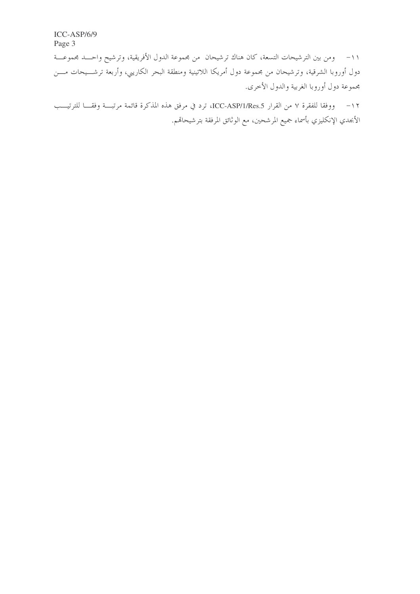١١- ومن بين الترشيحات التسعة، كان هناك ترشيحان من مجموعة الدول الأفريقية، وترشيح واحـــد مجموعـــة دول أوروبا الشرقية، وترشيحان من مجموعة دول أمريكا اللاتينية ومنطقة البحر الكاريبي، وأربعة ترشـــيحات مـــن مجموعة دول أوروبا الغربية والدول الأخرى.

١٢ – ووفقا للفقرة ٧ من القرار ICC-ASP/1/Res.5، ترد في مرفق هذه المذكرة قائمة مرتبسة وفقــا للترتيـــب الأبجدي الإنكليزي بأسماء جميع المرشحين، مع الوثائق المرفقة بترشيحاقم.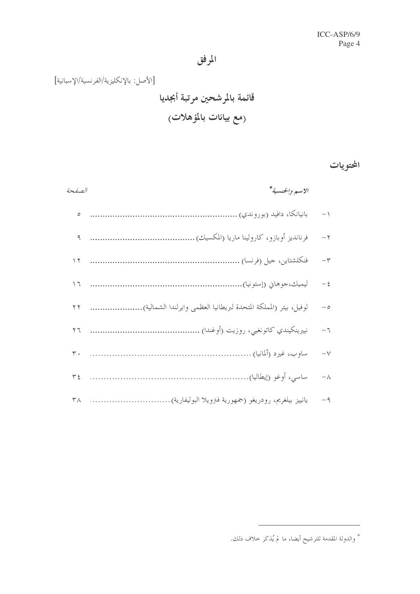[الأصل: بالإنكليزية/الفرنسية/الإسبانية] قائمة بالمرشحين مرتبة أبجديا (مع بيانات بالمؤهلات<sub>)</sub>

المحتويات

| الصفحة            | الاسم والجنسية*                                                        |            |
|-------------------|------------------------------------------------------------------------|------------|
| $\circ$           |                                                                        | $-$ \      |
|                   |                                                                        | $-\gamma$  |
| $\sqrt{ }$        |                                                                        | $-\tau$    |
| $\overline{1}$    |                                                                        | $-\xi$     |
| $\gamma$ $\gamma$ | لوفيل، بيتر (المملكة المتحدة لبريطانيا العظمى وايرلندا الشمالية).<br>. | $-\circ$   |
| $\overline{7}$    |                                                                        | $-$ 7      |
| $\mathsf{r}$ .    |                                                                        | $-\sqrt{}$ |
| $\tau$ {          |                                                                        | $-\lambda$ |
| ٣٨                | يانييز بيلغريم، رودريغو (جمهورية فترويلا البوليفارية).                 | $-9$       |

\* والدولة المقدمة للترشيح أيضا، ما لم يُذكر حلاف ذلك.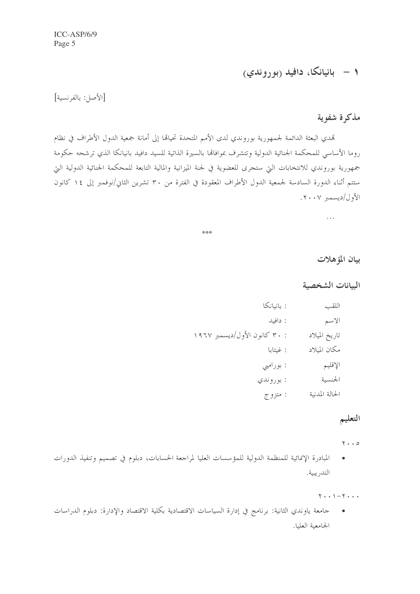# ۱ – بانیانکا، دافید (بوروندی)

[الأصل: بالفرنسية]

#### مذكرة شفوية

تمدي البعثة الدائمة لجمهورية بوروندي لدى الأمم المتحدة تحيالها إلى أمانة جمعية الدول الأطراف في نظام روما الأساسي للمحكمة الجنائية الدولية وتتشرف بموافاتها بالسيرة الذاتية للسيد دافيد بانيانكا الذي ترشحه حكومة جمهورية بوروندي للانتخابات التي ستحرى للعضوية في لجنة الميزانية والمالية التابعة للمحكمة الجنائية الدولية التي ستتم أثناء الدورة السادسة لجمعية الدول الأطراف المعقودة في الفترة من ٣٠ تشرين الثاني/نوفمبر إلى ١٤ كانون الأول/ديسمبر ٢٠٠٧.

\*\*\*

بيان المؤهلات

البيانات الشخصية

 $\ldots$ 

| اللقب          | : بانيانكا                   |
|----------------|------------------------------|
| الاسم          | : دافيد                      |
| تاريخ الميلاد  | : ۳۰ كانون الأول/ديسمبر ۱۹۶۷ |
| مكان الميلاد   | : غيتابا                     |
| الإقليم        | : بورامبي                    |
| الجنسية        | : بوروندي                    |
| الحالة المدنية | : متزوج                      |

# التعليم

 $\mathbf{y} \cdot \cdot \mathbf{z}$ 

المبادرة الإنمائية للمنظمة الدولية للمؤسسات العليا لمراجعة الحسابات، دبلوم في تصميم وتنفيذ الدورات  $\bullet$ التدر يبية.

 $\mathbf{Y} \cdot \cdot \mathbf{1} - \mathbf{Y} \cdot \cdot \cdot$ 

جامعة ياوندي الثانية: برنامج في إدارة السياسات الاقتصادية بكلية الاقتصاد والإدارة: دبلوم الدراسات  $\blacksquare$ الجامعية العليا.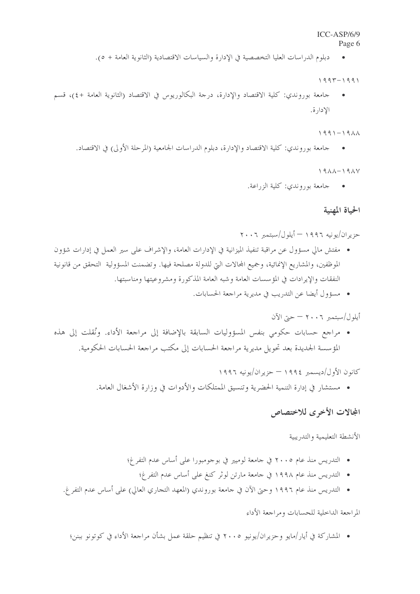#### $ICC-ASP/6/9$

#### Page 6

دبلوم الدراسات العليا التخصصية في الإدارة والسياسات الاقتصادية (الثانوية العامة + ٥).

 $1997 - 1991$ 

جامعة بوروندي: كلية الاقتصاد والإدارة، درجة البكالوريوس في الاقتصاد (الثانوية العامة +٤)، قسم  $\bullet$ الادارة.

 $1991 - 1911$ 

جامعة بوروندي: كلية الاقتصاد والإدارة، دبلوم الدراسات الجامعية (المرحلة الأولى) في الاقتصاد.

 $19\lambda\lambda-19\lambda\lambda$ 

• حامعة بوروندي: كلية الزراعة.

#### الحياة المهنية

حزير ان/يو نيه ١٩٩٦ – أيلو ل/سبتمبر ٢٠٠٦

- مفتش مالي مسؤول عن مراقبة تنفيذ الميزانية في الإدارات العامة، والإشراف على سير العمل في إدارات شؤون الموظفين، والمشاريع الإنمائية، وجميع المحالات التي للدولة مصلحة فيها. وتضمنت المسؤولية التحقق من قانونية النفقات والإيرادات في المؤسسات العامة وشبه العامة المذكورة ومشروعيتها ومناسبتها.
	- مسؤول أيضا عن التدريب في مديرية مراجعة الحسابات.

أيلول/سبتمبر ٢٠٠٦ — حيّ الآن

• مراجع حسابات حكومي بنفس المسؤوليات السابقة بالإضافة إلى مراجعة الأداء. ونُقلت إلى هذه المؤسسة الجديدة بعد تحويل مديرية مراجعة الحسابات إلى مكتب مراجعة الحسابات الحكومية.

> كانون الأول/ديسمبر ١٩٩٤ - حزير ان/يونيه ١٩٩٦ • مستشار في إدارة التنمية الحضرية وتنسيق الممتلكات والأدوات في وزارة الأشغال العامة.

### المجالات الأخرى للاختصاص

الأنشطة التعليمية والتدريبية

- التدريس منذ عام ٢٠٠٥ في جامعة لوميير في بوجومبورا على أساس عدم التفرغ؛
	- التدريس منذ عام ١٩٩٨ في جامعة مارتن لوثر كنغ على أساس عدم التفرغ؛
- التدريس منذ عام ١٩٩٦ وحتى الآن في جامعة بوروندي (المعهد التجاري العالي) على أساس عدم التفر غ.

المراجعة الداخلية للحسابات ومراجعة الأداء

• المشاركة في أيار /مايو وحزيران/يونيو ٢٠٠٥ في تنظيم حلقة عمل بشأن مراجعة الأداء في كوتونو ببنن؛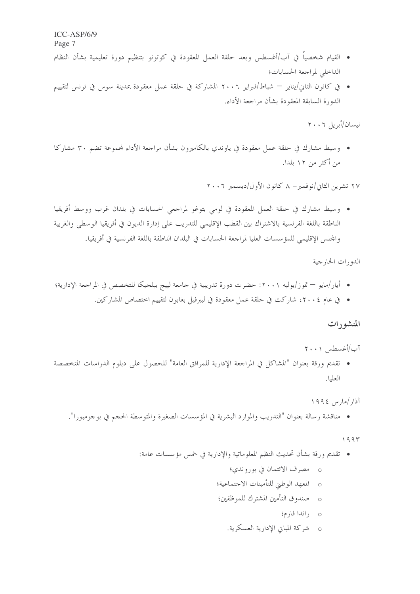- القيام شخصياً في آب/أغسطس وبعد حلقة العمل المعقودة في كوتونو بتنظيم دورة تعليمية بشأن النظام الداخلي لمراجعة الحسابات؛
- في كانون الثاني/يناير شباط/فبراير ٢٠٠٦ المشاركة في حلقة عمل معقودة بمدينة سوس في تونس لتقييم الدورة السابقة المعقودة بشأن مراجعة الأداء.

نيسان/أبريل ٢٠٠٦

• وسيط مشارك في حلقة عمل معقودة في ياوندي بالكاميرون بشأن مراجعة الأداء لمجموعة تضم ٣٠ مشاركا من أكثر من ١٢ بلدا.

۲۷ تشرین الثانی/نوفمبر – ۸ کانون الأول/دیسمبر ۲۰۰۲

• وسيط مشارك في حلقة العمل المعقودة في لومي بتوغو لمراجعي الحسابات في بلدان غرب ووسط أفريقيا الناطقة باللغة الفرنسية بالاشتراك بين القطب الإقليمي للتدريب على إدارة الديون في أفريقيا الوسطى والغربية والمجلس الإقليمي للمؤ سسات العليا لمراجعة الحسابات في البلدان الناطقة باللغة الفرنسية في أفريقيا.

الدورات الخارجية

- أيار/مايو تموز/يوليه ٢٠٠١: حضرت دورة تدريبية في حامعة لييج ببلحيكا للتخصص في المراجعة الإدارية؛
	- في عام ٢٠٠٤، شاركت في حلقة عمل معقودة في ليبرفيل بغابون لتقييم اختصاص المشاركين.

#### المنشورات

آب/أغسطس ۲۰۰۱

• تقديم ورقة بعنوان "المشاكل في المراجعة الإدارية للمرافق العامة" للحصول على دبلوم الدراسات المتخصصة العليا.

آذار /مارس ١٩٩٤

• مناقشة رسالة بعنوان "التدريب والموارد البشرية في المؤسسات الصغيرة والمتوسطة الحجم في بوحومبورا".

 $1995$ 

- تقديم ورقة بشأن تحديث النظم المعلوماتية والإدارية في خمس مؤسسات عامة:
	- o مصرف الائتمان في بوروندي؛
	- o المعهد الوطني للتأمينات الاجتماعية؛
	- 0 صندوق التأمين المشترك للموظفين؛
		- 0 راندا فارم؛
		- o شركة المباين الإدارية العسكرية.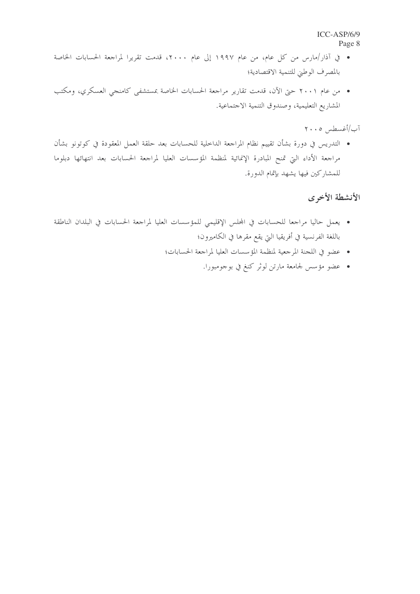- في آذار/مارس من كل عام، من عام ١٩٩٧ إلى عام ٢٠٠٠، قدمت تقريرا لمراجعة الحسابات الخاصة بالمصرف الوطني للتنمية الاقتصادية؛
- من عام ٢٠٠١ حتى الآن، قدمت تقارير مراجعة الحسابات الخاصة بمستشفى كامنجى العسكري، ومكتب المشاريع التعليمية، وصندوق التنمية الاحتماعية.

آب/أغسطس ٢٠٠٥

• التدريس في دورة بشأن تقييم نظام المراجعة الداخلية للحسابات بعد حلقة العمل المعقودة في كوتونو بشأن مراجعة الأداء التي تمنح المبادرة الإنمائية لمنظمة المؤسسات العليا لمراجعة الحسابات بعد انتهائها دبلوما للمشاركين فيها يشهد بإتمام الدورة.

### الأنشطة الأخرى

- يعمل حاليا مراجعا للحسابات في المحلس الإقليمي للمؤسسات العليا لمراجعة الحسابات في البلدان الناطقة باللغة الفرنسية في أفريقيا التي يقع مقرها في الكاميرون؛
	- عضو في اللجنة المرجعية لمنظمة المؤسسات العليا لمراجعة الحسابات؛
		- عضو مؤسس لجامعة مارتن لوثر كنغ في بوجومبورا.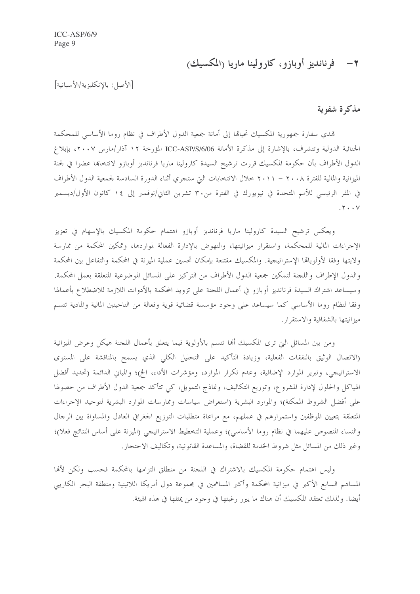# ۲ – فرناندیز أوبازو، کارولینا ماریا (المکسیك)

[الأصل: بالإنكليزية/الأسبانية]

#### مذكرة شفوية

تمدي سفارة جمهورية المكسيك تحيالها إلى أمانة جمعية الدول الأطراف في نظام روما الأساسى للمحكمة الجنائية الدولية وتتشرف، بالإشارة إلى مذكرة الأمانة ICC-ASP/S/6/06 المؤرخة ١٢ آذار/مارس ٢٠٠٧، بإبلاغ الدول الأطراف بأن حكومة المكسيك قررت ترشيح السيدة كارولينا ماريا فرنانديز أوبازو لانتخابها عضوا في لجنة الميزانية والمالية للفترة ٢٠٠٨ – ٢٠١١ خلال الانتخابات التي ستجري أثناء الدورة السادسة لجمعية الدول الأطراف في المقر الرئيسي للأمم المتحدة في نيويورك في الفترة من٣٠ تشرين الثاني/نوفمبر إلى ١٤ كانون الأول/ديسمبر  $.7 \cdot \cdot \sqrt{ }$ 

ويعكس ترشيح السيدة كارولينا ماريا فرنانديز أوبازو اهتمام حكومة المكسيك بالإسهام في تعزيز الإجراءات المالية للمحكمة، واستقرار ميزانيتها، والنهوض بالإدارة الفعالة لمواردها، وتمكين المحكمة من ممارسة ولايتها وفقا لأولوياقما الإستراتيجية. والمكسيك مقتنعة بإمكان تحسين عملية الميزنة في المحكمة والتفاعل بين المحكمة والدول الإطراف واللحنة لتمكين جمعية الدول الأطراف من التركيز على المسائل الموضوعية المتعلقة بعمل المحكمة. وسيساعد اشتراك السيدة فرنانديز أوبازو في أعمال اللجنة على تزويد المحكمة بالأدوات اللازمة للاضطلاع بأعمالها وفقا لنظام روما الأساسي كما سيساعد على وجود مؤسسة قضائية قوية وفعالة من الناحيتين المالية والمادية تتسم ميزانيتها بالشفافية والاستقرار .

ومن بين المسائل التي ترى المكسيك ألها تتسم بالأولوية فيما يتعلق بأعمال اللجنة هيكل وعرض الميزانية (الاتصال الوثيق بالنفقات الفعلية، وزيادة التأكيد على التحليل الكلي الذي يسمح بالمناقشة على المستوى الاستراتيجي، وتبرير الموارد الإضافية، وعدم تكرار الموارد، ومؤشرات الأداء، الخ)؛ والمباني الدائمة (تحديد أفضل الهياكل والحلول لإدارة المشروع، وتوزيع التكاليف، ونماذج التمويل، كي تتأكد جمعية الدول الأطراف من حصولها على أفضل الشروط الممكنة)؛ والموارد البشرية (استعراض سياسات وممارسات الموارد البشرية لتوحيد الإحراءات المتعلقة بتعيين الموظفين واستمرارهم في عملهم، مع مراعاة متطلبات التوزيع الجغرافي العادل والمساواة بين الرحال والنساء المنصوص عليهما في نظام روما الأساسي)؛ وعملية التخطيط الاستراتيجي (الميزنة على أساس النتائج فعلا)؛ وغير ذلك من المسائل مثل شروط الخدمة للقضاة، والمساعدة القانونية، وتكاليف الاحتجاز.

وليس اهتمام حكومة المكسيك بالاشتراك في اللجنة من منطلق التزامها بالمحكمة فحسب ولكن لأفما المساهم السابع الأكبر في ميزانية المحكمة وأكبر المساهمين في مجموعة دول أمريكا اللاتينية ومنطقة البحر الكاريبي أيضًا. ولذلك تعتقد المكسيك أن هناك ما يبرر رغبتها في وجود من يمثلها في هذه الهيئة.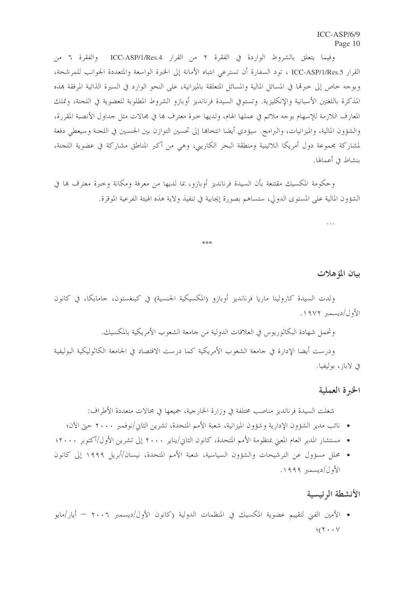وفيما يتعلق بالشروط الواردة في الفقرة ٢ من القرار ICC-ASP/1/Res.4 والفقرة ٦ من القرار ICC-ASP/1/Res.5 ، تود السفارة أن تسترعي انتباه الأمانة إلى الخبرة الواسعة والمتعددة الجوانب للمرشحة، وبوجه خاص إلى خبرها في المسائل المالية والمسائل المتعلقة بالميزانية، على النحو الوارد في السيرة الذاتية المرفقة بمذه المذكرة باللغتين الأسبانية والإنكليزية. وتستوفي السيدة فرنانديز أوبازو الشروط المطلوبة للعضوية في اللجنة، وتملك المعارف اللازمة للإسهام بوحه ملائم في عملها الهام، ولديها خبرة معترف ها في مجالات مثل حداول الأنصبة المقررة، والشؤون المالية، والميزانيات، والبرامج. سيؤدي أيضا انتخاها إلى تحسين التوازن بين الجنسين في اللجنة وسيعطى دفعة لمشاركة مجموعة دول أمريكا اللاتينية ومنطقة البحر الكاريبي، وهي من أكبر المناطق مشاركة في عضوية اللجنة، بنشاط في أعمالها.

وحكومة المكسيك مقتنعة بأن السيدة فرنانديز أوبازو، بما لديها من معرفة ومكانة وحيرة معترف بما في الشؤون المالية على المستوى الدولي، ستساهم بصورة إيجابية في تنفيذ ولاية هذه الهيئة الفرعية الموقرة.

\*\*\*

 $\ddotsc$ 

#### بيان المؤهلات

ولدت السيدة كارولينا ماريا فرنانديز أوبازو (المكسيكية الجنسية) في كينغستون، جامايكا، في كانون الأول/ديسمبر ١٩٧٢.

وتحمل شهادة البكالوريوس في العلاقات الدولية من جامعة الشعوب الأمريكية بالمكسيك.

ودرست أيضا الإدارة في جامعة الشعوب الأمريكية كما درست الاقتصاد في الجامعة الكاثوليكية البوليفية في لاباز، بوليفيا.

#### الخبرة العملية

شغلت السيدة فرنانديز مناصب مختلفة في وزارة الخارجية، جميعها في مجالات متعددة الأطراف:

- نائب مدير الشؤون الإدارية وشؤون الميزانية، شعبة الأمم المتحدة، تشرين الثاني/نوفمبر ٢٠٠٠ حتى الآن؛
- مستشار المدير العام المعنى بمنظومة الأمم المتحدة، كانون الثاني/يناير ٢٠٠٠ إلى تشرين الأول/أكتوبر ٢٠٠٠؛
- محلل مسؤول عن الترشيحات والشؤون السياسية، شعبة الأمم المتحدة، نيسان/أبريل ١٩٩٩ إلى كانون الأول/ديسمبر ١٩٩٩.

#### الأنشطة الرئيسية

• الأمين الفين لتقييم عضوية المكسيك في المنظمات الدولية (كانون الأول/ديسمبر ٢٠٠٦ — أيار/مايو  $\frac{1}{2}(\Upsilon + \cdot \Upsilon)$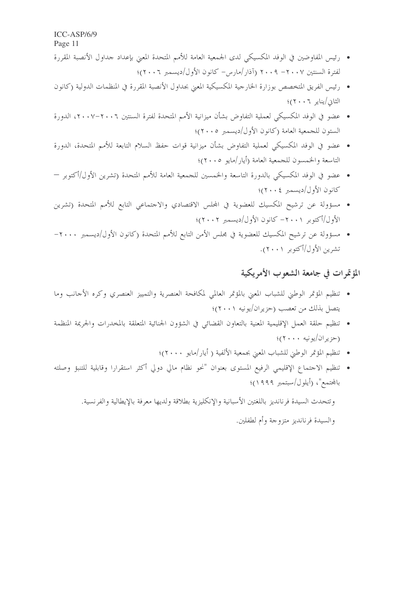$ICC-ASP/6/9$ 

Page 11

- رئيس المفاوضين في الوفد المكسيكي لدى الجمعية العامة للأمم المتحدة المعنى بإعداد جداول الأنصبة المقررة لفترة السنتين ٢٠٠٧ - ٢٠٠٩ (آذار/مارس- كانون الأول/ديسمبر ٢٠٠٦)؛
- رئيس الفريق المتخصص بوزارة الخارجية المكسيكية المعنى بجداول الأنصبة المقررة في المنظمات الدولية (كانون الثاني/يناير ٢٠٠٦)؛
- عضو في الوفد المكسيكي لعملية التفاوض بشأن ميزانية الأمم المتحدة لفترة السنتين ٢٠٠٦-٢٠٠٧، الدورة الستون للجمعية العامة (كانون الأول/ديسمبر ٢٠٠٥)؛
- عضوٍ في الوفد المكسيكي لعملية التفاوض بشأن ميزانية قوات حفظ السلام التابعة للأمم المتحدة، الدورة التاسعة والخمسون للجمعية العامة (أيار/مايو ٢٠٠٥)؛
- عضو في الوفد المكسيكي بالدورة التاسعة والخمسين للجمعية العامة للأمم المتحدة (تشرين الأول/أكتوبر كانون الأول/ديسمبر ٢٠٠٤)؛
- مسؤولة عن ترشيح المكسيك للعضوية في المحلس الاقتصادي والاحتماعي التابع للأمم المتحدة (تشرين الأول/أكتوبر ٢٠٠١ - كانون الأول/ديسمبر ٢٠٠٢)؛
- مسؤولة عن ترشيح المكسيك للعضوية في مجلس الأمن التابع للأمم المتحدة (كانون الأول/ديسمبر ٢٠٠٠-تشرين الأول/أكتوبر ٢٠٠١).

# المؤتمرات في جامعة الشعوب الأمريكية

- تنظيم المؤتمر الوطني للشباب المعنى بالمؤتمر العالمي لمكافحة العنصرية والتمييز العنصري وكره الأجانب وما يتصل بذلك من تعصب (حزيران/يونيه ٢٠٠١)؛
- تنظيم حلقة العمل الإقليمية المعنية بالتعاون القضائي في الشؤون الجنائية المتعلقة بالمخدرات والجريمة المنظمة (حزير ان/يونيه ٢٠٠٠)؛
	- تنظيم المؤتمر الوطني للشباب المعنى بجمعية الألفية ( أيار/مايو ٢٠٠٠)؛
- تنظيم الاحتماع الإقليمي الرفيع المستوى بعنوان "نحو نظام مالي دولي أكثر استقرارا وقابلية للتنبؤ وصلته بالمحتمع"، (أيلول/سبتمبر ١٩٩٩)؛

وتتحدث السيدة فرنانديز باللغتين الأسبانية والإنكليزية بطلاقة ولديها معرفة بالإيطالية والفرنسية. والسيدة فرنانديز متزوجة وأم لطفلين.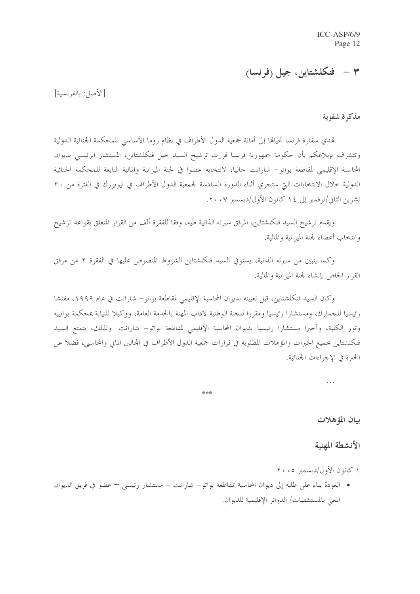# ٣ – فنكلشتاين، جيل (فرنسا)

[الأصل: بالفرنسية]

مذكرة شفوية

تمدي سفارة فرنسا تحيالها إلى أمانة جمعية الدول الأطراف في نظام روما الأساسبي للمحكمة الجنائية الدولية وتتشرف بإبلاغكم بأن حكومة جمهورية فرنسا قررت ترشيح السيد جيل فنكلشتاين، المستشار الرئيسي بديوان المحاسبة الإقليمي لمقاطعة بواتو– شارانت حاليا، لانتخابه عضوا في لجنة الميزانية والمالية التابعة للمحكمة الجنائية الدولية حلال الانتخابات التي ستجري أثناء الدورة السادسة لجمعية الدول الأطراف في نيويورك في الفترة من ٣٠ تشرين الثاني/نوفمبر إلى ١٤ كانون الأول/ديسمبر ٢٠٠٧.

ويقدم ترشيح السيد فنكلشتاين، المرفق سيرته الذاتية طيه، وفقا للفقرة ألف من القرار المتعلق بقواعد ترشيح وانتخاب أعضاء لجنة الميزانية والمالية.

وكما يتبين من سيرته الذاتية، يستوفي السيد فنكلشتاين الشروط المنصوص عليها في الفقرة ٢ من مرفق القرار الخاص بإنشاء لجنة الميزانية والمالية.

وكان السيد فنكلشتاين، قبل تعيينه بديوان المحاسبة الإقليمي لمقاطعة بواتو– شارانت في عام ١٩٩٩، مفتشا رئيسيا للجمارك، ومستشارا رئيسيا ومقررا للجنة الوطنية لآداب المهنة بالخدمة العامة، ووكيلا للنيابة بمحكمة بواتييه وتور الكلية، وأحيرا مستشارا رئيسيا بديوان المحاسبة الإقليمي لمقاطعة بواتو– شارانت. ولذلك، يتمتع السيد فنكلشتاين بجميع الخبرات والمؤهلات المطلوبة في قرارات جمعية الدول الأطراف في المحالين المالي والمحاسبي، فضلا عن الحبرة في الإجراءات الجنائية.

\*\*\*

بيان المؤهلات

#### الأنشطة المهنية

١ كانون الأول/ديسمبر ٢٠٠٥

• العودة بناء على طلبه إلى ديوان المحاسبة بمقاطعة بواتو– شارانت – مستشار رئيسي – عضوٍ في فريق الديوان المعنى بالمستشفيات/ الدوائر الإقليمية للديوان.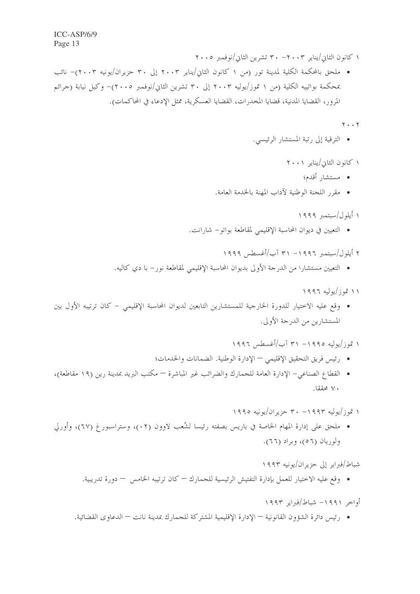١ كانون الثاني/يناير ٢٠٠٣ - ٣٠ تشرين الثاني/نوفمبر ٢٠٠٥

• ملحق بالمحكمة الكلية لمدينة تور (من ١ كانون الثاني/يناير ٢٠٠٣ إلى ٣٠ حزيران/يونيه ٢٠٠٣)– نائب بمحكمة بواتييه الكلية (من ١ تموز/يوليه ٢٠٠٣ إلى ٣٠ تشرين الثاني/نوفمبر ٢٠٠٥)– وكيل نيابة (جرائم المرور، القضايا المدنية، قضايا المخدرات، القضايا العسكرية، ممثل الإدعاء في المحاكمات).

 $Y \cdot \cdot Y$ 

• الترقية إلى رتبة المستشار الرئيسي.

١ كانون الثاني/يناير ٢٠٠١

- مستشار أقدم؛
- مقرر اللجنة الوطنية لآداب المهنة بالخدمة العامة.

١ أيلول/سبتمبر ١٩٩٩

• التعيين في ديوان المحاسبة الإقليمي لمقاطعة بواتو– شارانت.

٢ أيلول/سبتمبر ١٩٩٦ - ٣١ آب/أغسطس ١٩٩٩

• التعيين مستشارًا من الدرجة الأولى بديوان المحاسبة الإقليمي لمقاطعة نورٍ – با دي كاليه.

۱۱ تموز/يوليه ۱۹۹۶

• وقع عليه الاختيار للدورة الخارجية للمستشارين التابعين لديوان المحاسبة الإقليمي – كان ترتيبه الأول بين المستشارين من الدرجة الأولى.

۱ تموز /یولیه ۱۹۹۵– ۳۱ آب/أغسطس ۱۹۹۶

- رئيس فريق التحقيق الإقليمي الإدارة الوطنية. الضمانات والخدمات؛
- القطاع الصناعي– الإدارة العامة للجمارك والضرائب غير المباشرة مكتب البريد بمدينة رين (١٩ مقاطعة)، ۷۰ محققا.

۱ قموز /یولیه ۱۹۹۳ - ۳۰ حزیر آن/یونیه ۱۹۹۰

• ملحق على إدارة المهام الخاصة في باريس بصفته رئيسا لشُعب لاوون (٢٢)، وستراسبورغ (٦٧)، وأورلي ولوريان (٥٦)، وبراد (٦٦).

شباط/فبراير إلى حزيران/يونيه ١٩٩٣

• وقع عليه الاختيار للعمل بإدارة التفتيش الرئيسية للجمارك — كان ترتيبه الخامس — دورة تدريبية.

أواحير ١٩٩١ - شياط/فيراير ١٩٩٣

• رئيس دائرة الشؤون القانونية — الإدارة الإقليمية المشتركة للجمارك بمدينة نانت — الدعاوى القضائية.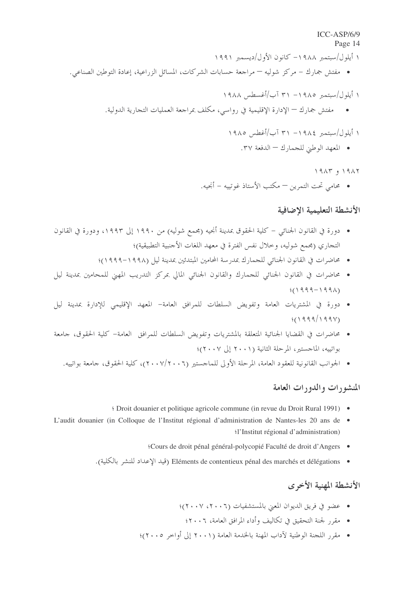#### ICC-ASP/6/9

Page 14 ١ أيلول/سبتمبر ١٩٨٨ - كانون الأول/ديسمبر ١٩٩١ • مفتش جمارك – مركز شوليه – مراجعة حسابات الشركات، المسائل الزراعية، إعادة التوطين الصناعي.

#### ١ أيلول/سيتمير ١٩٨٥ - ٣١ آب/أغسطس ١٩٨٨

• مفتش جمارك — الإدارة الإقليمية في رواسي، مكلف بمراجعة العمليات التجارية الدولية.

# ١ أيلول/سبتمبر ١٩٨٤ - ٣١ آب/أغطس ١٩٨٥

• المعهد الوطين للجمارك – الدفعة ٣٧.

#### $19AY, 919AY$

• محامى تحت التمرين — مكتب الأستاذ غوتسه – أنجيه.

#### الأنشطة التعليمية الاضافية

- دورة في القانون الجنائبي كلية الحقوق بمدينة أنجيه (مجمع شوليه) من ١٩٩٠ إلى ١٩٩٣، ودورة في القانون التجاري (مجمع شوليه، وحلال نفس الفترة في معهد اللغات الأجنبية التطبيقية)؛
	- محاضرات في القانون الجنائي للجمارك بمدرسة المحامين المبتدئين بمدينة ليل (١٩٩٨-١٩٩٩)؛
- محاضرات في القانون الجنائي للجمارك والقانون الجنائي المالي بمركز التدريب المهني للمحامين بمدينة ليل  $(1999 - 1991)$
- دورة في المشتريات العامة وتفويض السلطات للمرافق العامة– المعهد الإقليمي للإدارة بمدينة ليل  $4(1999/199V)$
- محاضرات في القضايا الجنائية المتعلقة بالمشتريات وتفويض السلطات للمرافق العامة– كلية الحقوق، جامعة بواتيبه، الماجستين المرحلة الثانية (٢٠٠١ إلى ٢٠٠٧)؛
	- الجوانب القانونية للعقود العامة، المرحلة الأولى للماحستير (٢٠٠٧/٢٠٠٦)، كلية الحقوق، حامعة بواتييه.

### المنشورات والدورات العامة

- 991) Droit douanier et politique agricole commune (in revue du Droit Rural 1991) •
- L'audit douanier (in Colloque de l'Institut régional d'administration de Nantes-les 20 ans de · 'l'Institut régional d'administration)
	- \*Cours de droit pénal général-polycopié Faculté de droit d'Angers
	- Eléments de contentieux pénal des marchés et délégations (قيد الإعداد للنشر بالكلية).

#### الأنشطة المهنية الأخرى

- عضو في فريق الديوان المعيّ بالمستشفيات (٢٠٠٦، ٢٠٠٧)؛
	- مقرر لجنة التحقيق في تكاليف وأداء المرافق العامة، ٢٠٠٦؛
- مقرر اللجنة الوطنية لآداب المهنة بالخدمة العامة (٢٠٠١ إلى أواخر ٢٠٠٥)؛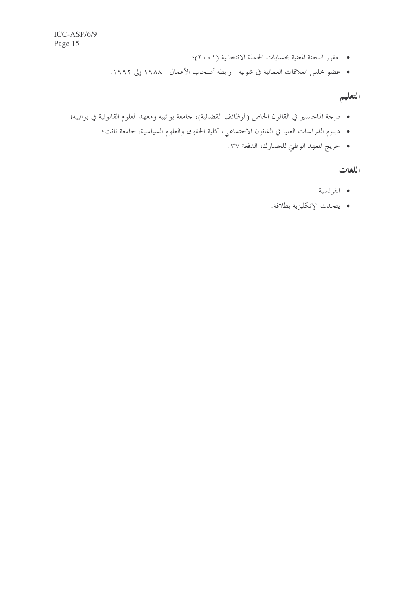- مقرر اللجنة المعنية بحسابات الحملة الانتخابية (٢٠٠١)؛
- عضو مجلس العلاقات العمالية في شوليه– رابطة أصحاب الأعمال– ١٩٨٨ إلى ١٩٩٢.

# التعليم

- درجة الماجستير في القانون الخاص (الوظائف القضائية)، جامعة بواتييه ومعهد العلوم القانونية في بواتييه؛
	- دبلوم الدراسات العليا في القانون الاحتماعي، كلية الحقوق والعلوم السياسية، حامعة نانت؛
		- خريج المعهد الوطني للجمارك، الدفعة ٣٧.

#### اللغات

- الفرنسية
- يتحدث الإنكليزية بطلاقة.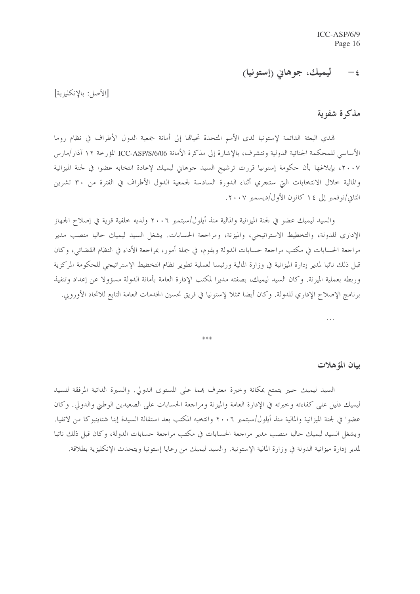#### ليميك، جوهايي (إستونيا)  $-\epsilon$

[الأصل: بالانكليزية]

#### مذكرة شفوية

تمدى البعثة الدائمة لإستونيا لدى الأمم المتحدة تحيالها إلى أمانة جمعية الدول الأطراف في نظام روما الأساسي للمحكمة الجنائية الدولية وتتشرف، بالإشارة إلى مذكرة الأمانة ICC-ASP/S/6/06 المؤرخة ١٢ آذار /مارس ٢٠٠٧، بإبلاغها بأن حكومة إستونيا قررت ترشيح السيد جوهاني ليميك لإعادة انتخابه عضوا في لجنة الميزانية والمالية حلال الانتخابات التي ستجري أثناء الدورة السادسة لجمعية الدول الأطراف في الفترة من ٣٠ تشرين الثاني/نوفمبر إلى ١٤ كانون الأول/ديسمبر ٢٠٠٧.

والسيد ليميك عضو في لجنة الميزانية والمالية منذ أيلول/سبتمبر ٢٠٠٦ ولديه خلفية قوية في إصلاح الجحاز الإداري للدولة، والتخطيط الاستراتيجي، والميزنة، ومراجعة الحسابات. يشغل السيد ليميك حاليا منصب مدير مراجعة الحسابات في مكتب مراجعة حسابات الدولة ويقوم، في جملة أمور، بمراجعة الأداء في النظام القضائي، وكان قبل ذلك نائبا لمدير إدارة الميزانية في وزارة المالية ورئيسا لعملية تطوير نظام التخطيط الإستراتيجي للحكومة المركزية وربطه بعملية الميزنة. وكان السيد ليميك، بصفته مديرا لمكتب الإدارة العامة بأمانة الدولة مسؤولا عن إعداد وتنفيذ برنامج الإصلاح الإداري للدولة. وكان أيضا ممثلاً لإستونيا في فريق تحسين الخدمات العامة التابع للاتحاد الأوروبي.

 $\dddot{\phantom{0}}$ 

半半半

بيان المؤهلات

السيد ليميك حبير يتمتع بمكانة وحبرة معترف بمما على المستوى الدولي. والسيرة الذاتية المرفقة للسيد ليميك دليل على كفاءته وخبرته في الإدارة العامة والميزنة ومراجعة الحسابات على الصعيدين الوطني والدولي. وكان عضوا في لجنة الميزانية والمالية منذ أيلول/سبتمبر ٢٠٠٦ وانتخبه المكتب بعد استقالة السيدة إينا شتاينبوكا من لاتفيا. ويشغل السيد ليميك حاليا منصب مدير مراجعة الحسابات في مكتب مراجعة حسابات الدولة، وكان قبل ذلك نائبا لمدير إدارة ميزانية الدولة في وزارة المالية الإستونية. والسيد ليميك من رعايا إستونيا ويتحدث الإنكليزية بطلاقة.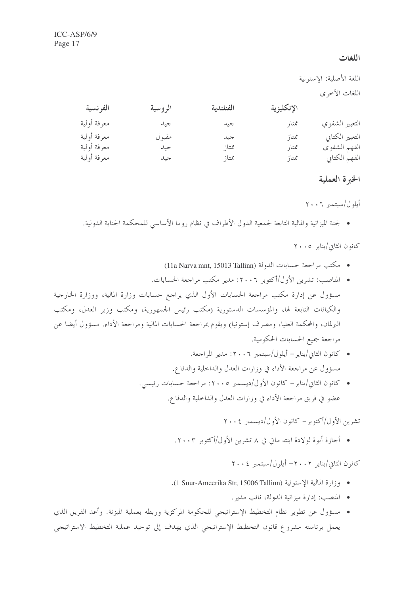#### اللغات

|             | اللغة الأصلية: الإستونية |           |            |                 |
|-------------|--------------------------|-----------|------------|-----------------|
|             |                          |           |            | اللغات الأخرى   |
| الفرنسية    | الروسية                  | الفنلندية | الإنكليزية |                 |
| معرفة أولية | جيد                      | جيد       | ممتاز      | التعبير الشفوي  |
| معرفة أولية | مقبو ل                   | جيد       | ممتاز      | التعبير الكتابي |
| معرفة أولية | جيد                      | ممتاز     | ممتاز      | الفهم الشفوي    |
| معرفة أولية | جيد                      | ممتاز     | ممتاز      | الفهم الكتابي   |

#### الخبرة العملية

#### أيلول/سبتمبر ٢٠٠٦

• لجنة الميزانية والمالية التابعة لجمعية الدول الأطراف في نظام روما الأساسي للمحكمة الجناية الدولية.

كانون الثاني/يناير ٢٠٠٥

- مكتب مراجعة حسابات الدولة (11a Narva mnt, 15013 Tallinn)
- المناصب: تشرين الأول/أكتوبر ٢٠٠٦: مدير مكتب مراجعة الحسابات. مسؤول عن إدارة مكتب مراجعة الحسابات الأول الذي يراجع حسابات وزارة المالية، ووزارة الخارجية والكيانات التابعة لها، والمؤسسات الدستورية (مكتب رئيس الجمهورية، ومكتب وزير العدل، ومكتب البرلمان، والمحكمة العليا، ومصرف إستونيا) ويقوم بمراجعة الحسابات المالية ومراجعة الأداء. مسؤول أيضا عن مراجعة جميع الحسابات الحكومية.
	- كانون الثاني/يناير أيلول/سبتمبر ٢٠٠٦: مدير المراجعة. مسؤول عن مراجعة الأداء في وزارات العدل والداخلية والدفاع.
	- كانون الثاني/يناير كانون الأول/ديسمبر ٢٠٠٥: مراجعة حسابات رئيسي. عضو في فريق مراجعة الأداء في وزارات العدل والداخلية والدفاع.

تشرين الأول/أكتوبر – كانون الأول/ديسمبر ٢٠٠٤

● أجازة أبوة لولادة ابنته ماتي في ٨ تشرين الأول/أكتوبر ٢٠٠٣.

#### كانون الثان/بنايه ٢٠٠٢- أيلول/ستمبر ٢٠٠٤

- وزارة المالية الاستونية (15006 1 1 Suur-Ameerika Str. 15006 1
	- المنصب: إدارة ميزانية الدولة، نائب مدير.
- مسؤول عن تطوير نظام التخطيط الإستراتيجي للحكومة المركزية وربطه بعملية الميزنة. وأعد الفريق الذي يعمل برئاسته مشروع قانون التخطيط الإستراتيجي الذي يهدف إلى توحيد عملية التخطيط الاستراتيجي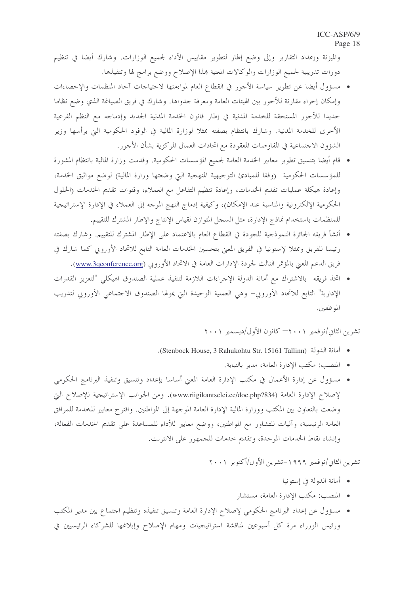والميزنة وإعداد التقارير وإلى وضع إطار لتطوير مقاييس الأداء لجميع الوزارات. وشارك أيضا في تنظيم دورات تدريبية لجميع الوزارات والوكالات المعنية هذا الإصلاح ووضع برامج لها وتنفيذها.

- مسؤول أيضا عن تطوير سياسة الأجور في القطاع العام لمواءمتها لاحتياحات آحاد المنظمات والإحصاءات وإمكان إجراء مقارنة للأجور بين الهيئات العامة ومعرفة جدواها. وشارك في فريق الصياغة الذي وضع نظاما حديدا للأجور المستحقة للخدمة المدنية في إطار قانون الخدمة المدنية الجديد وإدماحه مع النظم الفرعية الأخرى للخدمة المدنية. وشارك بانتظام بصفته ممثلاً لوزارة المالية في الوفود الحكومية التي يرأسها وزير الشؤون الاجتماعية في المفاوضات المعقودة مع اتحادات العمال المركزية بشأن الأجور.
- قام أيضا بتنسيق تطوير معايير الخدمة العامة لجميع المؤسسات الحكومية. وقدمت وزارة المالية بانتظام المشورة للمؤسسات الحكومية (وفقا للمبادئ التوجيهية المنهجية البتي وضعتها وزارة المالية) لوضع مواثيق الخدمة، وإعادة هيكلة عمليات تقديم الخدمات، وإعادة تنظيم التفاعل مع العملاء، وقنوات تقديم الخدمات (الحلول الحكومية الإلكترونية والمناسبة عند الإمكان)، وكيفية إدماج النهج الموجه إلى العملاء في الإدارة الإستراتيجية للمنظمات باستخدام نماذج الإدارة، مثل السجل المتوازن لقياس الإنتاج والإطار المشترك للتقييم.
- أنشأ فريقه الجائزة النموذجية للجودة في القطاع العام بالاعتماد على الإطار المشترك للتقييم. وشارك بصفته رئيسا للفريق وممثلا لإستونيا في الفريق المعنى بتحسين الخدمات العامة التابع للاتحاد الأوروبي كما شارك في فريق الدعم المعنى بالمؤتمر الثالث لجودة الإدارات العامة في الاتحاد الأوروبي (<u>www.3qconference.org</u>).
- اتخذ فريقه بالاشتراك مع أمانة الدولة الإحراءات اللازمة لتنفيذ عملية الصندوق الهيكلى "لتعزيز القدرات الإدارية" التابع للاتحاد الأوروبي– وهي العملية الوحيدة التي يمولها الصندوق الاحتماعي الأوروبي لتدريب الموظفين.

تشرين الثاني/نوفمبر ٢٠٠١ كانون الأول/ديسمبر ٢٠٠١

- · أمانة الدولة (Stenbock House, 3 Rahukohtu Str. 15161 Tallinn).
	- المنصب: مكتب الإدارة العامة، مدير بالنيابة.
- مسؤول عن إدارة الأعمال في مكتب الإدارة العامة المعني أساسا بإعداد وتنسيق وتنفيذ البرنامج الحكومي لإصلاح الإدارة العامة (www.riigikantselei.ee/doc.php?834). ومن الجوانب الإستراتيجية للإصلاح التي وضعت بالتعاون بين المكتب ووزارة المالية الإدارة العامة الموجهة إلى المواطنين. واقترح معايير للخدمة للمرافق العامة الرئيسية، وآليات للتشاور مع المواطنين، ووضع معايير للأداء للمساعدة على تقديم الخدمات الفعالة، وإنشاء نقاط الخدمات الموحدة، وتقديم خدمات للجمهور على الانترنت.

تشرين الثاني/نوفمبر ١٩٩٩–تشرين الأول/أكتوبر ٢٠٠١

- أمانة الدولة في إستونيا
- المنصب: مكتب الإدارة العامة، مستشار
- مسؤول عن إعداد البرنامج الحكومي لإصلاح الإدارة العامة وتنسيق تنفيذه وتنظيم احتماع بين مدير المكتب ورئيس الوزراء مرة كل أسبوعين لمناقشة استراتيجيات ومهام الإصلاح وإبلاغها للشركاء الرئيسيين في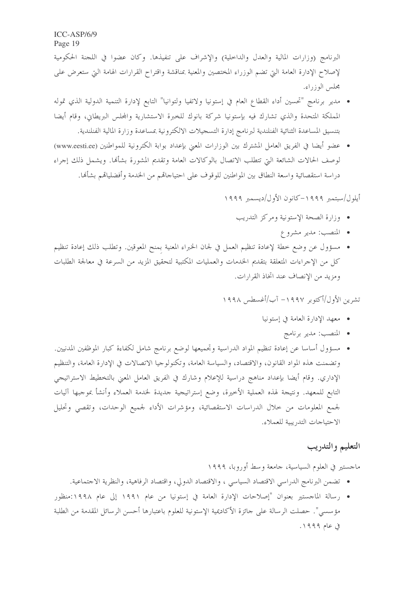البرنامج (وزارات المالية والعدل والداخلية) والإشراف على تنفيذها. وكان عضوا في اللجنة الحكومية لإصلاح الإدارة العامة التي تضم الوزراء المختصين والمعنية بمناقشة واقتراح القرارات الهامة التي ستعرض على محلس الوزراء.

- مدير برنامج "تحسين أداء القطاع العام في إستونيا ولاتفيا ولتوانيا" التابع لإدارة التنمية الدولية الذي تموله المملكة المتحدة والذي تشارك فيه بإستونيا شركة بانوك للخبرة الاستشارية والمحلس البريطاني، وقام أيضا بتنسيق المساعدة الثنائية الفنلندية لبرنامج إدارة التسجيلات الالكترونية بمساعدة وزارة المالية الفنلندية.
- عضو أيضا في الفريق العامل المشترك بين الوزارات المعنى بإعداد بوابة الكترونية للمواطنين (www.eesti.ee) لوصف الحالات الشائعة التي تتطلب الاتصال بالوكالات العامة وتقديم المشورة بشألها. ويشمل ذلك إجراء دراسة استقصائية واسعة النطاق بين المواطنين للوقوف على احتياجاتهم من الخدمة وأفضلياقمم بشألها.

أيلول/سبتمبر ١٩٩٩–كانون الأول/ديسمبر ١٩٩٩

- وزارة الصحة الإستونية ومركز التدريب
	- المنصب: مدير مشروع
- مسؤول عن وضع خطة لإعادة تنظيم العمل في لجان الخبراء المعنية بمنح المعوقين. وتطلب ذلك إعادة تنظيم كلٌّ من الإجراءات المتعلِّقة بتقديم الخدمات والعمليات المكتبية لتحقيق المزيد من السرعة في معالجة الطلبات ومزيد من الإنصاف عند اتخاذ القرارات.

تشرين الأول/أكتوبر ١٩٩٧– آب/أغسطس ١٩٩٨

- معهد الإدارة العامة في إستونيا
	- المنصب: مدير برنامج
- مسؤول أساسا عن إعادة تنظيم المواد الدراسية وتجميعها لوضع برنامج شامل لكفاءة كبار الموظفين المدنيين. وتضمنت هذه المواد القانون، والاقتصاد، والسياسة العامة، وتكنولوجيا الاتصالات في الإدارة العامة، والتنظيم الإداري. وقام أيضا بإعداد مناهج دراسية للإعلام وشارك في الفريق العامل المعنى بالتخطيط الاستراتيجي التابع للمعهد. ونتيجة لهذه العملية الأخيرة، وضع إستراتيجية جديدة لخدمة العملاء وأنشأ بموجبها آليات لجمع المعلومات من حلال الدراسات الاستقصائية، ومؤشرات الأداء لجميع الوحدات، وتقصى وتحليل الاحتياجات التدريبية للعملاء.

### التعليم والتدريب

ماجستير في العلوم السياسية، جامعة وسط أوروبا، ١٩٩٩

- تضمن البرنامج الدراسي الاقتصاد السياسي ، والاقتصاد الدولي، واقتصاد الرفاهية، والنظرية الاجتماعية.
- رسالة الماجستير بعنوان "إصلاحات الإدارة العامة في إستونيا من عام ١٩٩١ إلى عام ١٩٩٨:منظور مؤسسي". حصلت الرسالة على حائزة الأكاديمية الإستونية للعلوم باعتبارها أحسن الرسائل المقدمة من الطلبة فی عام ۱۹۹۹.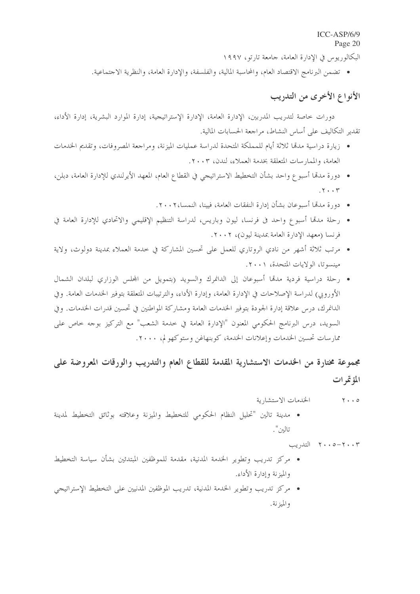البكالوريوس في الإدارة العامة، جامعة تارتو، ١٩٩٧

• تضمن البرنامج الاقتصاد العام، والمحاسبة المالية، والفلسفة، والإدارة العامة، والنظرية الاحتماعية.

# الأنواع الأخرى من التدريب

دورات خاصة لتدريب المدربين، الإدارة العامة، الإدارة الإستراتيجية، إدارة الموارد البشرية، إدارة الأداء، تقدير التكاليف على أساس النشاط، مراجعة الحسابات المالية.

- ; يارة دراسية مدمَّا ثلاثة أيام للمملكة المتحدة لدراسة عمليات الميزنة، ومراجعة المصروفات، وتقديم الخدمات العامة، والممار سات المتعلقة بخدمة العملاء، لندن، ٢٠٠٣.
- دورة مدهَّا أسبو ع واحد بشأن التخطيط الاستراتيجي في القطاع العام، المعهد الأيرلندي للإدارة العامة، دبلن،  $\mathbf{y} \cdot \mathbf{y}$ 
	- دورة مدمَّا أسبوعان بشأن إدارة النفقات العامة، فيينا، النمسا،٢٠٠٢.
- رحلة مدمّا أسبوع واحد في فرنسا، ليون وباريس، لدراسة التنظيم الإقليمي والاتحادي للإدارة العامة في فرنسا (معهد الإدارة العامة بمدينة ليون)، ٢٠٠٢.
- مرتب ثلاثة أشهر من نادي الروتاري للعمل على تحسين المشاركة في خدمة العملاء بمدينة دولوث، ولاية مينسوتا، الولايات المتحدة، ٢٠٠١.
- رحلة دراسية فردية مدمّا أسبوعان إلى الدانمرك والسويد (بتمويل من المحلس الوزاري لبلدان الشمال الأوروبي) لدراسة الإصلاحات في الإدارة العامة، وإدارة الأداء، والترتيبات المتعلقة بتوفير الخدمات العامة. وفي الدانمرك، درس علاقة إدارة الجودة بتوفير الخدمات العامة ومشاركة المواطنين في تحسين قدرات الخدمات. وفي السويد، درس البرنامج الحكومي المعنون "الإدارة العامة في خدمة الشعب" مع التركيز بوجه خاص على ممارسات تحسين الخدمات وإعلانات الخدمة، كوبنهاغن وستوكهو لم، ٢٠٠٠.

مجموعة مختارة من الخدمات الاستشارية المقدمة للقطاع العام والتدريب والورقات المعروضة على المؤتمرات

- الخدمات الاستشارية  $Y \cdot 0$
- مدينة تالين "تحليل النظام الحكومي للتخطيط والميزنة وعلاقته بوثائق التخطيط لمدينة تالين".

 $\mathcal{L}$  ۲۰۰۳ - التدريب

- مركز تدريب وتطوير الخدمة المدنية، مقدمة للموظفين المبتدئين بشأن سياسة التخطيط والميزنة وإدارة الأداء.
- مركز تدريب وتطوير الخدمة المدنية، تدريب الموظفين المدنيين على التخطيط الإستراتيجي والميزنة.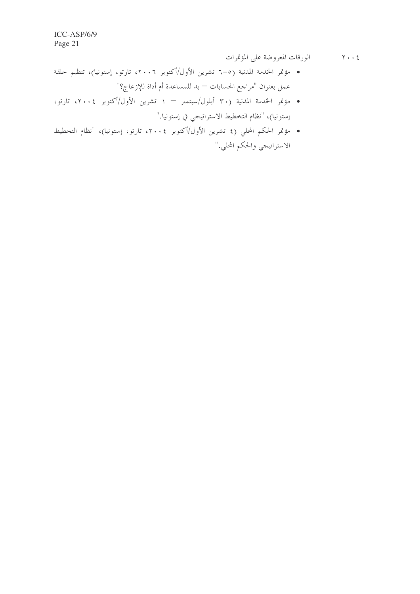- الورقات المعروضة على المؤتمرات  $\mathbf{Y} \cdot \cdot \mathbf{E}$
- مؤتمر الحدمة المدنية (٥–٦ تشرين الأول/أكتوبر ٢٠٠٦، تارتو، إستونيا)، تنظيم حلقة عمل بعنوان "مراجع الحسابات — يد للمساعدة أم أداة للإزعاج؟"
- مؤتمر الخدمة المدنية (٣٠ أيلول/سبتمبر ١ تشرين الأول/أكتوبر ٢٠٠٤، تارتو، إستونيا)، "نظام التخطيط الاستراتيجي في إستونيا."
- مؤتمر الحكم المحلي (٤ تشرين الأول/أكتوبر ٢٠٠٤، تارتو، إستونيا)، "نظام التخطيط الاستراتيجي والحكم المحلي."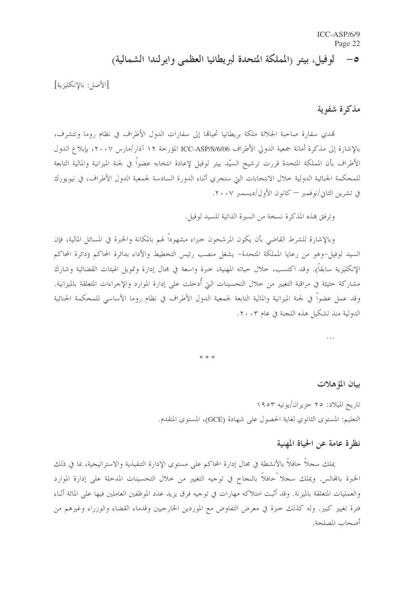#### لوفيل، بيتر (المملكة المتحدة لبريطانيا العظمى وايرلندا الشمالية)  $-\circ$

[الأصل: بالإنكليزية]

#### مذكرة شفوية

تمدي سفارة صاحبة الجلالة ملكة بريطانيا تحيالها إلى سفارات الدول الأطراف في نظام روما وتتشرف، بالإشارة إلى مذكرة أمانة جمعية الدولي الأطراف ICC-ASP/S/6/06 المؤرخة ١٢ آذار/مارس ٢٠٠٧، بإبلاغ الدول الأطراف بأن المملكة المتحدة قررت ترشيح السيّد بيتر لوفيل لإعادة انتخابه عضواً في لجنة الميزانية والمالية التابعة للمحكمة الجنائية الدولية حلال الانتخابات التي ستجري أثناء الدورة السادسة لجمعية الدول الأطراف، في نيويورك في تشرين الثاني/نوفمبر — كانون الأول/ديسمبر ٢٠٠٧.

وترفق هذه المذكرة نسخة من السيرة الذاتية للسيد لوفيل.

وبالإشارة للشرط القاضي بأن يكون المرشحون حبراء مشهوداً لهم بالمكانة والخبرة في المسائل المالية، فإن السيد لوفيل-وهو من رعايا المملكة المتحدة- يشغل منصب رئيس التخطيط والأداء بدائرة المحاكم (دائرة المحاكم الإنكليزية سابقاً). وقد اكتسب، خلال حياته المهنية، خبرة واسعة في مجال إدارة وتمويل الهيئات القضائية وشارك مشاركة حثيثة في مراقبة التغيير من خلال التحسينات التي أدحلت على إدارة الموارد والإجراءات المتعلقة بالميزانية. وقد عمل عضواً في لجنة الميزانية والمالية التابعة لجمعية الدول الأطراف في نظام روما الأساسي للمحكمة الجنائية الدولية منذ تشكيل هذه اللجنة في عام ٢٠٠٣.

#### بيان المؤهلات

تاريخ الميلاد: ٢٥ حزيران/يونيه ١٩٥٣ التعليم: المستوى الثانوي لغاية الحصول على شهادة (GCE)، المستوى المتقدم.

#### نظرة عامة عن الحياة المهنية

يملك سجلاً حافلاً بالأنشطة في مجال إدارة المحاكم على مستوى الإدارة التنفيذية والاستراتيجية، بما في ذلك الخبرة بالمحالس. ويملك سجلا ًحافلاً بالنجاح في توجيه التغيير من خلال التحسينات المدخلة على إدارة الموارد والعمليات المتعلقة بالميزنة. وقد أثبت امتلاكه مهارات في توجيه فرق يزيد عدد الموظفين العاملين فيها على المائة أثناء فترة تغيير كبير. وله كذلك حبرة في معرض التفاوض مع الموردين الخارجيين وقدماء القضاء والوزراء وغيرهم من أصحاب المصلحة.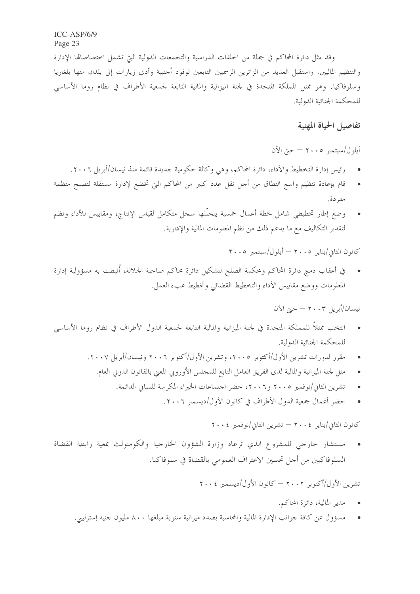وقد مثل دائرة المحاكم في جملة من الحلقات الدراسية والتجمعات الدولية التي تشمل اختصاصاقما الإدارة والتنظيم الماليين. واستقبل العديد من الزائرين الرسميين التابعين لوفود أحنبية وأدى زيارات إلى بلدان منها بلغاريا وسلوفاكيا. وهو ممثل المملكة المتحدة في لجنة الميزانية والمالية التابعة لجمعية الأطراف في نظام روما الأساسي للمحكمة الجنائية الدولية.

#### تفاصيل الحياة المهنية

أيلول/سبتمبر ٢٠٠٥ - حيّ الآن

- رئيس إدارة التخطيط والأداء، دائرة المحاكم، وهي وكالة حكومية جديدة قائمة منذ نيسان/أبريل ٢٠٠٦.
- قام بإعادة تنظيم واسع النطاق من أجل نقل عدد كبير من المحاكم التي تخضع لإدارة مستقلة لتصبح منظمة مفردة.
- وضع إطار تخطيطي شامل لخطة أعمال خمسية يتخلّلها سجل متكامل لقياس الإنتاج، ومقاييس للأداء ونظم لتقدير التكاليف مع ما يدعم ذلك من نظم المعلومات المالية والإدارية.

 $\gamma \cdot \circ$  كانون الثاني/يناير ٢٠٠٥ - أيلول/سبتمبر ٢٠٠٥

في أعقاب دمج دائرة المحاكم ومحكمة الصلح لتشكيل دائرة محاكم صاحبة الجلالة، أُنيطت به مسؤولية إدارة المعلومات ووضع مقاييس الأداء والتخطيط القضائي وتخطيط عبء العمل.

نيسان/أبريل ٢٠٠٣ — حيّ الآن

- انتخب ممثلاً للمملكة المتحدة في لجنة الميزانية والمالية التابعة لجمعية الدول الأطراف في نظام روما الأساسي للمحكمة الجنائية الدولية.
	- مقرر لدورات تشرين الأول/أكتوبر ٢٠٠٥، وتشرين الأول/أكتوبر ٢٠٠٦ ونيسان/أبريل ٢٠٠٧.
		- مثل لجنة الميزانية والمالية لدى الفريق العامل التابع للمحلس الأوروبي المعنى بالقانون الدولي العام.
			- تشرين الثاني/نوفمبر ٢٠٠٥ و٢٠٠٦، حضر احتماعات الخبراء المكرسة للمباني الدائمة.
				- حضر أعمال جمعية الدول الأطراف في كانون الأول/ديسمبر ٢٠٠٦.

كانون الثاني/يناير ٢٠٠٤ — تشرين الثاني/نوفمبر ٢٠٠٤

مستشار حارجي للمشروع الذي ترعاه وزارة الشؤون الخارجية والكومنولث بمعية رابطة القضاة السلوفاكيين من أجل تحسين الاعتراف العمومي بالقضاة في سلوفاكيا.

تشرين الأول/أكتوبر ٢٠٠٢ — كانون الأول/ديسمبر ٢٠٠٤

- مدير المالية، دائرة المحاكم.
- مسؤول عن كافة جوانب الإدارة المالية والمحاسبة بصدد ميزانية سنوية مبلغها ٨٠٠ مليون جنيه إسترليني.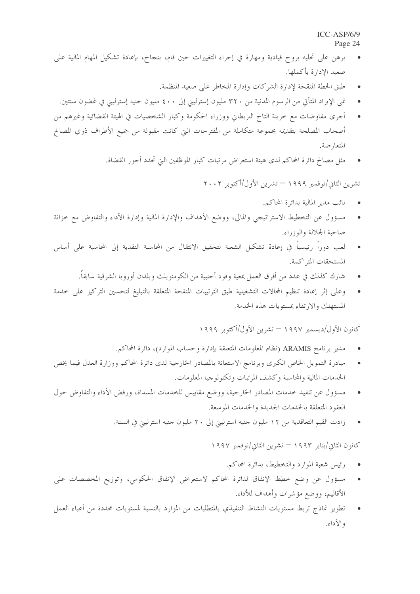- برهن على تحليه بروح قيادية ومهارة في إجراء التغييرات حين قام، بنجاح، بإعادة تشكيل المهام المالية على صعيد الإدارة بأكملها.
	- طبق الخطة المنقحة لإدارة الشركات وإدارة المخاطر على صعيد المنظمة.
	- نمي الإيراد المتأتي من الرسوم المدنية من ٣٢٠ مليون إسترليني إلى ٤٠٠ مليون جنيه إسترليني في غضون سنتين.
- أجرى مفاوضات مع خزينة التاج البريطاني ووزراء الحكومة وكبار الشخصيات في الهيئة القضائية وغيرهم من أصحاب المصلحة بتقديمه مجموعة متكاملة من المقترحات التي كانت مقبولة من جميع الأطراف ذوي المصالح المتعا, ضة.
	- مثل مصالح دائرة المحاكم لدى هيئة استعراض مرتبات كبار الموظفين التي تحدد أجور القضاة.

تشرين الثاني/نوفمبر ١٩٩٩ — تشرين الأول/أكتوبر ٢٠٠٢

- نائب مدير المالية بدائرة المحاكم.  $\bullet$
- مسؤول عن التخطيط الاستراتيجي والمالي، ووضع الأهداف والإدارة المالية وإدارة الأداء والتفاوض مع خزانة صاحبة الجلالة والوزراء.
- لعب دوراً رئيسياً في إعادة تشكيل الشعبة لتحقيق الانتقال من المحاسبة النقدية إلى المحاسبة على أساس المستحقات المتراكمة.
	- شارك كذلك في عدد من أفرق العمل بمعية وفود أحنبية من الكومنويلث وبلدان أوروبا الشرقية سابقاً.
- وعلى إثر إعادة تنظيم المحالات التشغيلية طبق الترتيبات المنقحة المتعلقة بالتبليغ لتحسين التركيز على حدمة المستهلك والارتقاء بمستويات هذه الخدمة.

كانون الأول/ديسمبر ١٩٩٧ — تشرين الأول/أكتوبر ١٩٩٩

- مدير برنامج ARAMIS (نظام المعلومات المتعلقة بإدارة وحساب الموارد)، دائرة المحاكم.
- مبادرة التمويل الخاص الكبرى وبرنامج الاستعانة بالمصادر الخارجية لدى دائرة المحاكم ووزارة العدل فيما يخص  $\bullet$ الخدمات المالية والمحاسبة وكشف المرتبات وتكنولوجيا المعلومات.
- مسؤول عن تنفيد حدمات المصادر الخارجية، ووضع مقاييس للخدمات المسداة، ورفض الأداء والتفاوض حول  $\bullet$ العقود المتعلقة بالخدمات الجديدة والخدمات الموسعة.
	- زادت القيم التعاقدية من ١٢ مليون جنيه استرليني إلى ٢٠ مليون جنيه استرليني في السنة.  $\bullet$

كانون الثاني/يناير ١٩٩٣ — تشرين الثاني/نوفمبر ١٩٩٧

- رئيس شعبة الموارد والتخطيط، بدائرة المحاكم.  $\bullet$
- مسؤول عن وضع خطط الإنفاق لدائرة المحاكم لاستعراض الإنفاق الحكومي، وتوزيع المخصصات على الأقاليم، ووضع مؤشرات وأهداف للأداء.
- تطوير نماذج تربط مستويات النشاط التنفيذي بالمتطلبات من الموارد بالنسبة لمستويات محددة من أعباء العمل والأداء.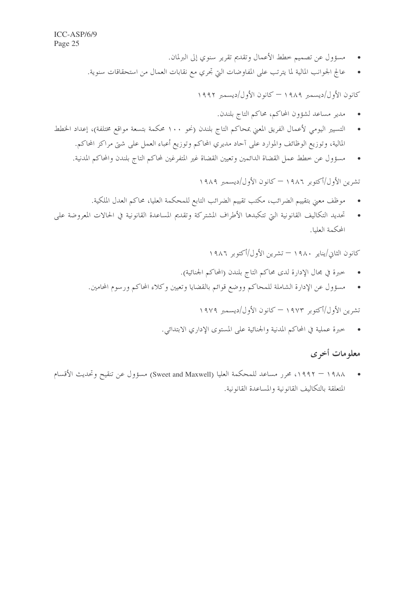- مسؤول عن تصميم خطط الأعمال وتقديم تقرير سنوي إلى البرلمان.
- عالج الجوانب المالية لما يترتب على المفاوضات التي تجري مع نقابات العمال من استحقاقات سنوية.

كانون الأول/ديسمبر ١٩٨٩ — كانون الأول/ديسمبر ١٩٩٢

- مدير مساعد لشؤون المحاكم، محاكم التاج بلندن.
- التسيير اليومي لأعمال الفريق المعني بمحاكم التاج بلندن (نحو ١٠٠ محكمة بتسعة مواقع مختلفة)، إعداد الخطط المالية، وتوزيع الوظائف والموارد على آحاد مديري المحاكم وتوزيع أعباء العمل على شتى مراكز المحاكم.
	- مسؤول عن خطط عمل القضاة الدائمين وتعيين القضاة غير المتفرغين لمحاكم التاج بلندن والمحاكم المدنية.

تشرين الأول/أكتوبر ١٩٨٦ — كانون الأول/ديسمبر ١٩٨٩

- موظف معنى بتقييم الضرائب، مكتب تقييم الضرائب التابع للمحكمة العليا، محاكم العدل الملكية.
- تحديد التكاليف القانونية التي تتكبدها الأطراف المشتركة وتقديم المساعدة القانونية في الحالات المعروضة على المحكمة العليا.

كانون الثاني/يناير ١٩٨٠ — تشرين الأول/أكتوبر ١٩٨٦

- خبرة في مجال الإدارة لدى محاكم التاج بلندن (المحاكم الجنائية).
- مسؤول عن الإدارة الشاملة للمحاكم ووضع قوائم بالقضايا وتعيين وكلاء المحاكم ورسوم المحامين.  $\bullet$

تشرين الأول/أكتوبر ١٩٧٣ – كانون الأول/ديسمبر ١٩٧٩

حبرة عملية في المحاكم المدنية والجنائية على المستوى الإداري الابتدائي.  $\bullet$ 

# معلومات أخرى

١٩٨٨ – ١٩٩٢، محرر مساعد للمحكمة العليا (Sweet and Maxwell) مسؤول عن تنقيح وتحديث الأقسام المتعلقة بالتكاليف القانونية والمساعدة القانونية.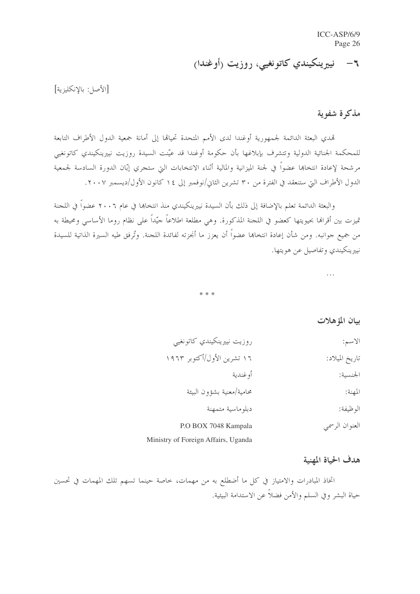٦– نييرينكيندي كاتونغيي، روزيت (أوغندا)

[الأصل: بالانكليزية]

# مذكرة شفوية

تمدي البعثة الدائمة لجمهورية أوغندا لدى الأمم المتحدة تحيالها إلى أمانة جمعية الدول الأطراف التابعة للمحكمة الجنائية الدولية وتتشرف بإبلاغها بأن حكومة أوغندا قد عيّنت السيدة روزيت نييرينكيندي كاتونغيي مرشحة لإعادة انتخابما عضواً في لجنة الميزانية والمالية أثناء الانتخابات التي ستجري إبّان الدورة السادسة لجمعية الدول الأطراف التي ستنعقد في الفترة من ٣٠ تشرين الثاني/نوفمبر إلى ١٤ كانون الأول/ديسمبر ٢٠٠٧.

والبعثة الدائمة تعلم بالإضافة إلى ذلك بأن السيدة نييرينكيندي منذ انتخابها في عام ٢٠٠٦ عضواً في اللجنة تميزت بين أقرالها بحيويتها كعضو في اللجنة المذكورة. وهي مطلعة اطلاعاً حيّداً على نظام روما الأساسى ومحيطة به من جميع جوانبه. ومن شأن إعادة انتخابها عضواً أن يعزز ما أنجزته لفائدة اللجنة. وتُرفق طيه السيرة الذاتية للسيدة نييرينكيندي وتفاصيل عن هويتها.

 $\cdots$ 

\* \* \*

بيان المؤهلات

| الاسم:         | روزيت نييرينكيندي كاتونغيي          |
|----------------|-------------------------------------|
| تاريخ الميلاد: | ۱۶ تشرین الأول/أكتوبر ۱۹۶۳          |
| الجنسية:       | أو غندية                            |
| المهنة:        | محامية/معنية بشؤون البيئة           |
| الوظيفة:       | دبلوماسية متمهنة                    |
| العنوان الرسمي | P.O BOX 7048 Kampala                |
|                | Ministry of Foreign Affairs, Uganda |

# هدف الحياة المهنية

اتخاذ المبادرات والامتياز في كل ما أضطلع به من مهمات، حاصة حينما تسهم تلك المهمات في تحسين حياة البشر وفي السلم والأمن فضلاً عن الاستدامة البيئية.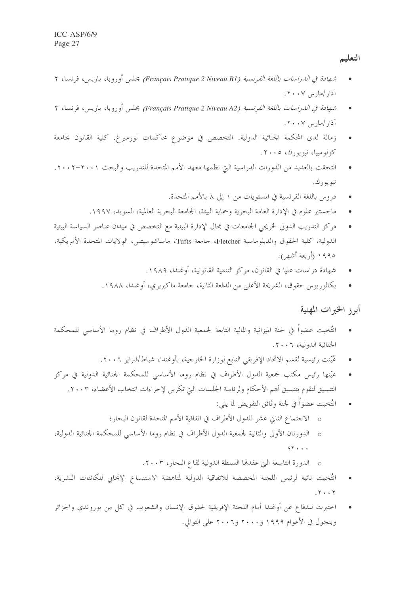التعليم

- شهادة في الدراسات باللغة الفرنسية (Français Pratique 2 Niveau B1) مجلس أوروبا، باريس، فرنسا، ٢ آذار /مارس ۲۰۰۷.
- شهادة في الدراسات باللغة الفرنسية (Français Pratique 2 Niveau A2) مجلس أوروبا، باريس، فرنسا، ٢ آذار /مارس ۲۰۰۷.
- زمالة لدى المحكمة الجنائية الدولية. التخصص في موضوع محاكمات نورمبرغ. كلية القانون بجامعة کولومبيا، نيويورك، ٢٠٠٥.
- التحقت بالعديد من الدورات الدراسية التيّ نظمها معهد الأمم المتحدة للتدريب والبحث ٢٠٠١–٢٠٠٢. نبو يو رك .
	- دروس باللغة الفرنسية في المستويات من ١ إلى ٨ بالأمم المتحدة.
	- ماجستير علوم في الإدارة العامة البحرية وحماية البيئة، الجامعة البحرية العالمية، السويد، ١٩٩٧.
- مركز التدريب الدولي لخريجي الجامعات في مجال الإدارة البيئية مع التخصص في ميدان عناصر السياسة البيئية الدولية، كلية الحقوق والدبلوماسية Fletcher، جامعة Tufts، ماساشوسيتس، الولايات المتحدة الأمريكية، ١٩٩٥ (أربعة أشهر).
	- شهادة دراسات عليا في القانون، مركز التنمية القانونية، أوغندا، ١٩٨٩.
	- بكالوريوس حقوق، الشريحة الأعلى من الدفعة الثانية، حامعة ماكيريري، أوغندا، ١٩٨٨.  $\bullet$

أبرز الخبرات المهنية

- انتُخبت عضواً في لجنة الميزانية والمالية التابعة لجمعية الدول الأطراف في نظام روما الأساسي للمحكمة  $\bullet$ الجنائية الدولية، ٢٠٠٦.
	- عُيّنت رئيسية لقسم الاتحاد الإفريقي التابع لوزارة الخارجية، بأوغندا، شباط/فبراير ٢٠٠٦.
- عيّنها رئيس مكتب جمعية الدول الأطراف في نظام روما الأساسي للمحكمة الجنائية الدولية في مركز التنسيق لتقوم بتنسيق أهم الأحكام ولرئاسة الجلسات التي تكرس لإجراءات انتخاب الأعضاء، ٢٠٠٣.
	- انتُخبت عضوًا في لجنة وثائق التفويض لما يلي:
	- o الاجتماع الثاني عشر للدول الأطراف في اتفاقية الأمم المتحدة لقانون البحار؛
- o الدورتان الأولى والثانية لجمعية الدول الأطراف في نظام روما الأساسى للمحكمة الجنائية الدولية،  $55.11$ 
	- الدورة التاسعة التي عقدها السلطة الدولية لقاع البحار ، ٢٠٠٣.
- انتُخبت نائبة لرئيس اللجنة المخصصة للاتفاقية الدولية لمناهضة الاستنساخ الإنجابي للكائنات البشرية،  $.7.7$
- اختيرت للدفاع عن أوغندا أمام اللجنة الإفريقية لحقوق الإنسان والشعوب في كل من بوروندي والجزائر وبنجول في الأعوام ١٩٩٩ و٢٠٠٠ و٢٠٠٦ على التوالي.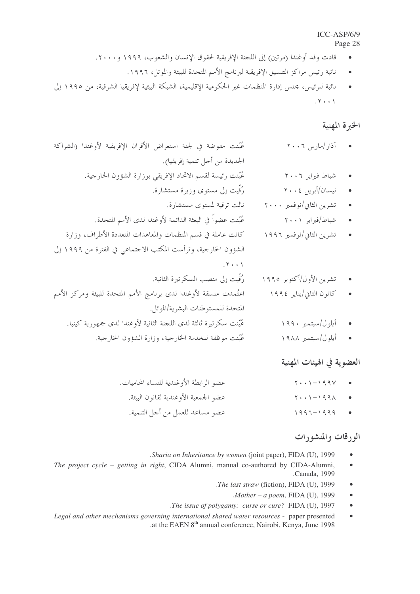- قادت وفد أوغندا (مرتين) إلى اللجنة الإفريقية لحقوق الإنسان والشعوب، ١٩٩٩ و٢٠٠٠.
	- نائبة رئيس مراكز التنسيق الإفريقية لبرنامج الأمم المتحدة للبيئة والموئل، ١٩٩٦.
- نائبة للرئيس، مجلس إدارة المنظمات غير الحكومية الإقليمية، الشبكة البيئية لإفريقيا الشرقية، من ١٩٩٥ إلى  $.7...$

### الخبرة المهنية

عُيِّنت مفوضة في لجنة استعراض الأقران الإفريقية لأوغندا (الشراكة  $\mathbf{y} \cdot \mathbf{y} = \mathbf{y} \cdot \mathbf{y}$ الجديدة من أجل تنمية إفريقيا). عُيّنت رئيسة لقسم الاتحاد الإفريقي بوزارة الشؤون الخارجية. شباط فبراير ٢٠٠٦ رُقِّبت إلى مستوى وزيرة مستشارة. • نيسان/أبريل ٢٠٠٤ تشرين الثاني/نوفمبر ٢٠٠٠ نالت ترقية لمستوى مستشارة. عُيّنت عضواً في البعثة الدائمة لأوغندا لدى الأمم المتحدة. شياط/فيرايه ٢٠٠١ كانت عاملة في قسم المنظمات والمعاهدات المتعددة الأطراف، وزارة تشرين الثابي/نوفمبر ١٩٩٦  $\bullet$ الشؤون الخارجية، وترأست المكتب الاجتماعي في الفترة من ١٩٩٩ إلى  $.7...$ رُقِّيت إلى منصب السكرتيرة الثانية. تشرين الأول/أكتوبر ١٩٩٥ اعتُمدت منسقة لأوغندا لدى برنامج الأمم المتحدة للبيئة ومركز الأمم كانون الثاني/يناير ١٩٩٤ المتحدة للمستوطنات البشرية/الموئل. عُنَّنت سكرتيرة ثالثة لدى اللجنة الثانية لأوغندا لدى جمهورية كينيا. أبلول/سيتمين ١٩٩٠ عُيِّنت موظفة للخدمة الحارجية، وزارة الشؤون الحارجية. • أيلول/سبتمبر ١٩٨٨

#### العضوية في الهيئات المهنية

- عضو الرابطة الأوغندية للنساء المحاميات.  $Y \cdot Y - 199Y$ عضو الجمعية الأوغندية لقانون البيئة.  $\bullet$ 
	- عضو مساعد للعمل من أجل التنمية.  $1997 - 1999$

# الورقات والمنشورات

- .Sharia on Inheritance by women (joint paper), FIDA (U), 1999
- The project cycle getting in right, CIDA Alumni, manual co-authored by CIDA-Alumni,  $\bullet$ Canada, 1999.
	- .The last straw (fiction), FIDA (U), 1999  $\bullet$ 
		- $Mother a poem$ , FIDA (U), 1999
	- .The issue of polygamy: curse or cure? FIDA (U), 1997  $\bullet$
- Legal and other mechanisms governing international shared water resources paper presented  $\bullet$ at the EAEN 8<sup>th</sup> annual conference, Nairobi, Kenya, June 1998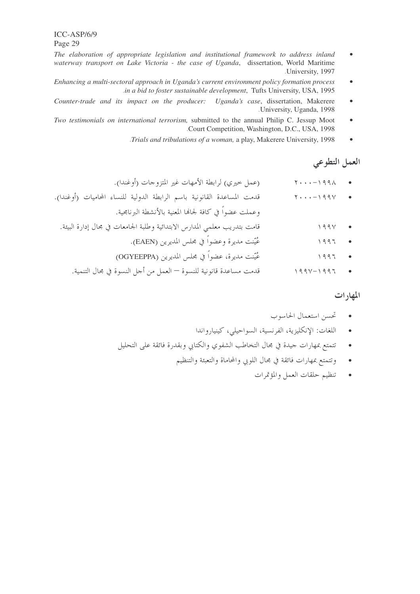- The elaboration of appropriate legislation and institutional framework to address inland  $\bullet$ waterway transport on Lake Victoria - the case of Uganda, dissertation, World Maritime .University, 1997
- Enhancing a multi-sectoral approach in Uganda's current environment policy formation process  $\bullet$ in a bid to foster sustainable development, Tufts University, USA, 1995.
- Counter-trade and its impact on the producer: Uganda's case, dissertation, Makerere  $\bullet$ University, Uganda, 1998.
- Two testimonials on international terrorism, submitted to the annual Philip C. Jessup Moot  $\bullet$ .Court Competition, Washington, D.C., USA, 1998
	- .Trials and tribulations of a woman, a play, Makerere University, 1998  $\bullet$

#### العمل التطوعي

- (عمل حيري) لرابطة الأمهات غير المتزوجات (أوغندا).  $Y \cdot \cdot \cdot -1991$
- قدمت المساعدة القانونية باسم الرابطة الدولية للنساء المحاميات (أوغندا).  $Y \cdot \cdot \cdot - 199Y$  $\bullet$ وعملت عضواً في كافة لجاها المعنية بالأنشطة البرنامجية.
	- قامت بتدريب معلمي المدارس الابتدائية وطلبة الجامعات في مجال إدارة البيئة.  $199V$  $\bullet$ 
		- عُيّنت مديرة وعضواً في مجلس المديرين (EAEN).  $\setminus 997$  $\bullet$
		- عُيّنت مديرة، عضواً في مجلس المديرين (OGYEEPPA)  $1997$  $\bullet$
		- قدمت مساعدة قانونية للنسوة العمل من أحل النسوة في مجال التنمية.  $199 \vee -199 \vee$

#### المهار ات

- تحسن استعمال الحاسوب
- اللغات: الإنكليزية، الفرنسية، السواحيلي، كينيارواندا
- تتمتع بمهارات جيدة في مجال التخاطب الشفوي والكتابي وبقدرة فائقة على التحليل  $\bullet$ 
	- وتتمتع بمهارات فائقة في مجال اللوبي والمحاماة والتعبئة والتنظيم  $\bullet$ 
		- تنظيم حلقات العمل والمؤتمرات  $\blacksquare$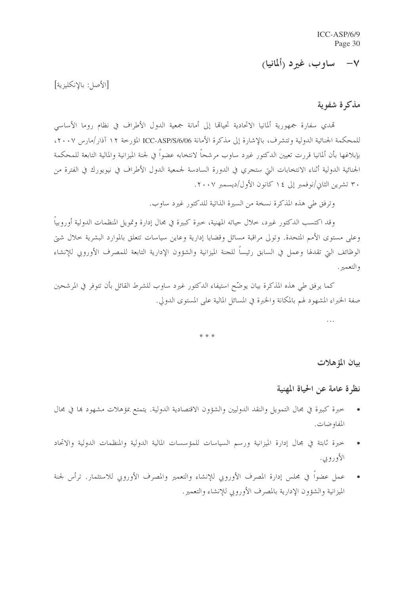# V– ساوب، غيرد (ألمانيا)

[الأصل: بالإنكليزية]

مذكرة شفوية

تمدى سفارة جمهورية ألمانيا الاتحادية تحيالها إلى أمانة جمعية الدول الأطراف في نظام روما الأساسي للمحكمة الجنائية الدولية وتتشرف، بالإشارة إلى مذكرة الأمانة ICC-ASP/S/6/06 المؤرخة ١٢ آذار/مارس ٢٠٠٧، بإبلاغها بأن ألمانيا قررت تعيين الدكتور غيرد ساوب مرشحاً لانتخابه عضواً في لجنة الميزانية والمالية التابعة للمحكمة الجنائية الدولية أثناء الانتخابات التي ستجري في الدورة السادسة لجمعية الدول الأطراف في نيويورك في الفترة من ۳۰ تشرین الثانی/نوفمبر إلی ۱٤ کانون الأول/دیسمبر ۲۰۰۷.

وترفق طي هذه المذكرة نسخة من السيرة الذاتية للدكتور غيرد ساوب.

وقد اكتسب الدكتور غيرد، حلال حياته المهنية، حبرة كبيرة في مجال إدارة وتمويل المنظمات الدولية أوروبياً وعلى مستوى الأمم المتحدة. وتولى مراقبة مسائل وقضايا إدارية وعاين سياسات تتعلق بالموارد البشرية حلال شبت الوظائف التي تقدلها وعمل في السابق رئيساً للجنة الميزانية والشؤون الإدارية التابعة للمصرف الأوروبي للإنشاء والتعمير .

كما يرفق طي هذه المذكرة بيان يوضّح استيفاء الدكتور غيرد ساوب للشرط القائل بأن تتوفر في المرشحين صفة الخبراء المشهود لهم بالمكانة والخبرة في المسائل المالية على المستوى الدولي.

\* \* \*

بيان المؤهلات

نظرة عامة عن الحياة المهنية

- خبرة كبيرة في مجال التمويل والنقد الدوليين والشؤون الاقتصادية الدولية. يتمتع بمؤهلات مشهود بما في مجال المفاوضات.
- خبرة ثابتة في مجال إدارة الميزانية ورسم السياسات للمؤسسات المالية الدولية والمنظمات الدولية والاتحاد الأوروبي.
- عمل عضواً في مجلس إدارة المصرف الأوروبي للإنشاء والتعمير والمصرف الأوروبي للاستثمار. ترأس لجنة الميزانية والشؤون الإدارية بالمصرف الأوروبي للإنشاء والتعمير .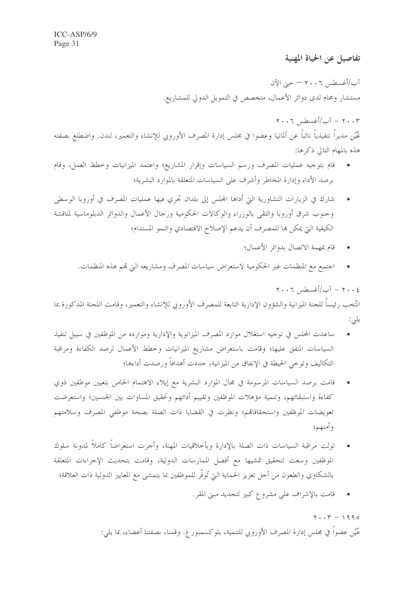تفاصيل عن الحياة المهنية

آب/أغسطس ٢٠٠٦ – حتى الآن مستشار ومحام لدى دوائر الأعمال، متخصص في التمويل الدولي للمشاريع.

 $Y \cdot Y = \lceil \frac{1}{2} \rceil \cdot \frac{1}{2}$ اغسطس ١٠٠٦ عُيّن مديراً تنفيذياً نائباً عن ألمانيا وعضوا في مجلس إدارة المصرف الأوروبي للإنشاء والتعمير، لندن. واضطلع بصفته هذه بالمهام التالي ذكرها:

- قام بتوجيه عمليات المصرف ورسم السياسات وإقرار المشاريع؛ واعتمد الميزانيات وخطط العمل، وقام برصد الأداء وإدارة المخاطر وأشرف على السياسات المتعلقة بالموارد البشرية؛
- شارك في الزيارات التشاورية التيّ أداها المجلس إلى بلدان تجري فيها عمليات المصرف في أوروبا الوسطى وجنوب شرق أوروبا والتقى بالوزراء والوكالات الحكومية ورحال الأعمال والدوائر الدبلوماسية لمناقشة الكيفية التي يمكن ها للمصرف أن يدعم الإصلاح الاقتصادي والنمو المستدام؛
	- قام بمهمة الاتصال بدوائر الأعمال؛  $\bullet$

 $Y \cdot Y = \tilde{I} - \tilde{I} - \tilde{I}$ ب/أغسطس ٢٠٠٦

اجتمع مع المنظمات غير الحكومية لاستعراض سياسات المصرف ومشاريعه التي قمم هذه المنظمات.  $\bullet$ 

انتُخب رئيساً للحنة الميزانية والشؤون الإدارية التابعة للمصرف الأوروبي للإنشاء والتعمير، وقامت اللحنة المذكورة بما يلي:

- ساعدت المحلس في توجيه استغلال موارد المصرف الميزانوية والإدارية وموارده من الموظفين في سبيل تنفيذ السياسات المتفق عليها؛ وقامت باستعراض مشاريع الميزانيات وخطط الأعمال لرصد الكفاءة ومراقبة التكاليف وتوحى الحيطة في الإنفاق من الميزانية، حددت أهدافاً ورصدت أداءها؛
- قامت برصد السياسات المرسومة في مجال الموارد البشرية مع إيلاء الاهتمام الخاص بتعيين موظفين ذوي كفاءة واستبقائهم، وتنمية مؤهلات الموظفين وتقييم أدائهم وتحقيق المساوات بين الجنسين؛ واستعرضت تعويضات الموظفين واستحقاقاقم؛ ونظرت في القضايا ذات الصلة بصحة موظفي المصرف وسلامتهم وأمنهم؛
- تولت مراقبة السياسات ذات الصلة بالإدارة وبأخلاقيات المهنة، وأحرت استعراضاً كاملاً لمدونة سلوك الموظفين وسعت لتحقيق تمشيها مع أفضل الممارسات الدولية، وقامت بتحديث الإجراءات المتعلقة بالشكاوي والطعون من أحل تعزيز الحماية التي تُوفّر للموظفين بما يتمشى مع المعايير الدولية ذات العلاقة؛
	- قامت بالإشراف على مشروع كبير لتجديد مبني المقر.  $\bullet$

 $Y \cdot Y = 1990$ عُيّن عضواً في مجلس إدارة المصرف الأوروبي للتنمية، بلوكسمبورغ. وقمنا، بصفتنا أعضاء، بما يلي: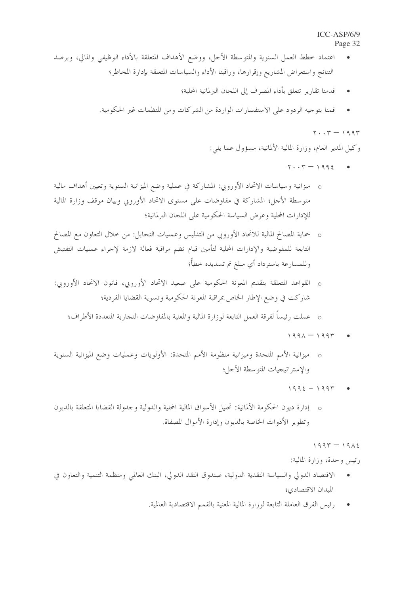- اعتماد خطط العمل السنوية والمتوسطة الأجل، ووضع الأهداف المتعلقة بالأداء الوظيفي والمالي، وبرصد النتائج واستعراض المشاريع وإقرارها، وراقبنا الأداء والسياسات المتعلقة بإدارة المخاطر؛
	- قدمنا تقارير تتعلق بأداء المصرف إلى اللجان البرلمانية المحلية؛  $\bullet$
	- قمنا بتوجيه الردود على الاستفسارات الواردة من الشركات ومن المنظمات غير الحكومية.  $\overline{\phantom{a}}$ 
		- $\mathbf{y} \cdot \mathbf{y} = 199 \mathbf{y}$

وكيل المدير العام، وزارة المالية الألمانية، مسؤول عما يلي:

- $\mathbf{r} \cdot \mathbf{r} = 1992$
- o ميزانية وسياسات الاتحاد الأوروبي: المشاركة في عملية وضع الميزانية السنوية وتعيين أهداف مالية متوسطة الأحل؛ المشاركة في مفاوضات على مستوى الاتحاد الأوروبي وبيان موقف وزارة المالية للإدارات المحلية وعرض السياسة الحكومية على اللجان البرلمانية؛
- o حماية المصالح المالية للاتحاد الأوروبي من التدليس وعمليات التحايل: من حلال التعاون مع المصالح التابعة للمفوضية والإدارات المحلية لتأمين قيام نظم مراقبة فعالة لازمة لإحراء عمليات التفتيش وللمسارعة باسترداد أي مبلغ تم تسديده خطأ؛
- o القواعد المتعلقة بتقديم المعونة الحكومية على صعيد الاتحاد الأوروبي، قانون الاتحاد الأوروبي: شاركت في وضع الإطار الخاص بمراقبة المعونة الحكومية وتسوية القضايا الفردية؛
	- o عملت رئيساً لفرقة العمل التابعة لوزارة المالية والمعنية بالمفاوضات التجارية المتعددة الأطراف؛
		- $1991 1997$
- o ميزانية الأمم المتحدة وميزانية منظومة الأمم المتحدة: الأولويات وعمليات وضع الميزانية السنوية والإستراتيجيات المتوسطة الأجل؛
	- $1992 1997$
- o إدارة ديون الحكومة الألمانية: تحليل الأسواق المالية المحلية والدولية وحدولة القضايا المتعلقة بالديون وتطوير الأدوات الخاصة بالديون وإدارة الأموال المصفاة.
	- $1995 1912$
	- رئيس وحدة، وزارة المالية:
- الاقتصاد الدولي والسياسة النقدية الدولية، صندوق النقد الدولي، البنك العالمي ومنظمة التنمية والتعاون في الميدان الاقتصادي؛
	- رئيس الفرق العاملة التابعة لوزارة المالية المعنية بالقمم الاقتصادية العالمية.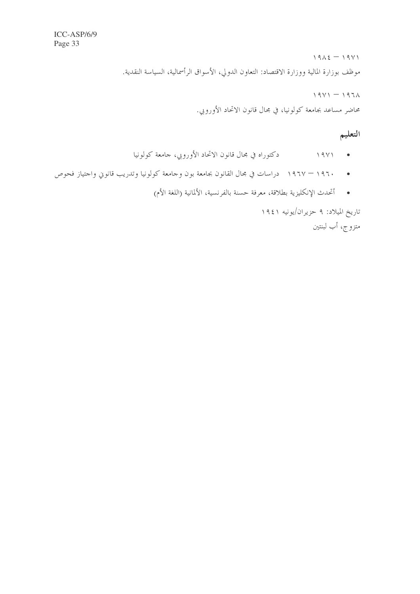$19\lambda\xi - 19V1$ موظف بوزارة المالية ووزارة الاقتصاد: التعاون الدولي، الأسواق الرأسمالية، السياسة النقدية.

 $19Y1 - 1971$ 

محاضر مساعد بجامعة كولونيا، في محال قانون الاتحاد الأوروبي.

# التعليم

- 
- ١٩٦٠ ١٩٦٧ دراسات في مجال القانون بجامعة بون وجامعة كولونيا وتدريب قانوين واجتياز فحوص
	- أتحدث الإنكليزية بطلاقة، معرفة حسنة بالفرنسية، الألمانية (اللغة الأم)

تاريخ الميلاد: ۹ حزيران/يونيه ١٩٤١ متزوج، أب لبنتين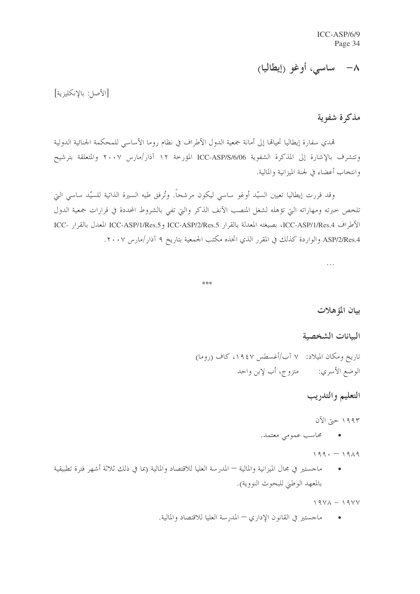# ۸– ساسی، أوغو (إيطاليا)

[الأصل: بالانكليزية]

#### مذكرة شفوية

تمدي سفارة إيطاليا تحياها إلى أمانة جمعية الدول الأطراف في نظام روما الأساسبي للمحكمة الجنائية الدولية وتتشرف بالإشارة إلى المذكرة الشفوية ICC-ASP/S/6/06 المؤرخة ١٢ آذار/مارس ٢٠٠٧ والمتعلقة بترشيح وانتخاب أعضاء في لجنة الميزانية والمالية.

وقد قررت إيطاليا تعيين السيّد أوغو ساسي ليكون مرشحاً. وتُرفق طيه السيرة الذاتية للسيّد ساسي التي تلخص خبرته ومهاراته التي تؤهله لشغل المنصب الآنف الذكر والتي تفي بالشروط المحددة في قرارات جمعية الدول الأطراف ICC-ASP/1/Res.4، بصيغته المعدلة بالقرار ICC-ASP/1/Res.5 وICC-ASP/1/Res.5 المعدل بالقرار -ICC ASP/2/Res.4 والواردة كذلك في المقرر الذي اتخذه مكتب الجمعية بتاريخ ٩ آذار/مارس ٢٠٠٧.

 $\ddotsc$ 

#### \*\*\*

بيان المؤهلات

الببانات الشخصية

تاريخ ومكان الميلاد: ٧ آب/أغسطس ١٩٤٧، كاف (روما) الوضع الأسري: متزوج، أب لإبن واحد

### التعليم والتدريب

۱۹۹۳ حتی الآن

• گاسب عمومی معتمد.

 $199. - 1919$ 

ماحستير في مجال الميزانية والمالية — المدرسة العليا للاقتصاد والمالية (بما في ذلك ثلاثة أشهر فترة تطبيقية بالمعهد الوطني للبحوث النووية).

 $19YA - 19YY$ 

ماجستير في القانون الإداري — المدرسة العليا للاقتصاد والمالية.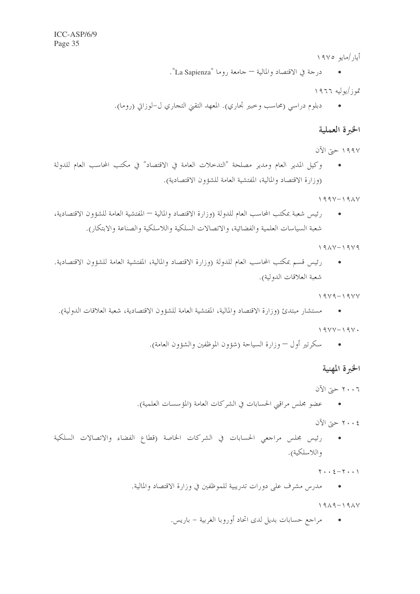أيار /مايو ١٩٧٥

• درجة في الاقتصاد والمالية — جامعة روما "La Sapienza".

تموز/يوليه ١٩٦٦

دبلوم دراسي (محاسب وحبير تجاري). المعهد التقيي التجاري ل-لوزاني (روما).  $\bullet$ 

#### الخبرة العملية

- ١٩٩٧ حيّ الآن
- وكيل المدير العام ومدير مصلحة "التدحلات العامة في الاقتصاد" في مكتب المحاسب العام للدولة (وزارة الاقتصاد والمالية، المفتشية العامة للشؤون الاقتصادية).

 $199Y - 19AY$ 

رئيس شعبة بمكتب المحاسب العام للدولة (وزارة الاقتصاد والمالية — المفتشية العامة للشؤون الاقتصادية،  $\mathcal{L}$ شعبة السياسات العلمية والفضائية، والاتصالات السلكية واللاسلكية والصناعة والابتكار ).

 $191V - 19V9$ 

رئيس قسم بمكتب المحاسب العام للدولة (وزارة الاقتصاد والمالية، المفتشية العامة للشؤون الاقتصادية.  $\mathcal{L}^{\mathcal{A}}$  . شعبة العلاقات الدولية).

 $1919 - 1911$ 

- مستشار مبتدئ (وزارة الاقتصاد والمالية، المفتشية العامة للشؤون الاقتصادية، شعبة العلاقات الدولية).  $19YY-19Y$ 
	- سكرتير أول وزارة السياحة (شؤون الموظفين والشؤون العامة).

الخبرة المهنية

٢٠٠٦ حيّ الآن

- عضو مجلس مراقبي الحسابات في الشركات العامة (المؤسسات العلمية).
	- ٢٠٠٤ حتى الآن
- رئيس مجلس مراجعي الحسابات في الشركات الخاصة (قطاع الفضاء والاتصالات السلكية  $\mathcal{L}^{\mathcal{A}}$  . واللاسلكية).

 $Y \cdot \cdot 2 - Y \cdot \cdot Y$ 

مدرس مشرف على دورات تدريبية للموظفين في وزارة الاقتصاد والمالية.  $\mathcal{L}^{\mathcal{A}}$ 

 $1919 - 191V$ 

مراجع حسابات بديل لدى اتحاد أوروبا الغربية – باريس.  $\mathcal{L}^{\mathcal{A}}$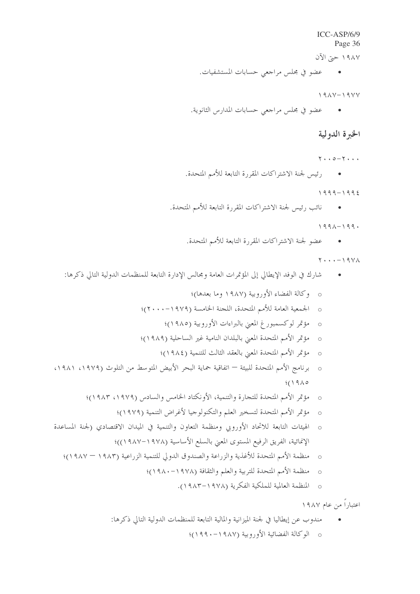١٩٨٧ حتى الآن

• عضو في مجلس مراجعي حسابات المستشفيات.

 $191Y-19YY$ 

● عضو في مجلس مراجعي حسابات المدارس الثانوية.

### الخبرة الدولية

- $Y \cdot 0 Y \cdot \cdot \cdot$
- - $1999 1992$
- نائب رئيس لجنة الاشتراكات المقررة التابعة للأمم المتحدة.  $\sim$   $\sim$

 $1991 - 199.$ 

• عضو لجنة الاشتراكات المقررة التابعة للأمم المتحدة.

 $Y \cdot \cdot \cdot - 19Y \wedge$ 

• شارك في الوفد الإيطالي إلى المؤتمرات العامة ومجالس الإدارة التابعة للمنظمات الدولية التالي ذكرها:

 $\boldsymbol{\zeta}$ 

0 المنظمة العالمية للملكية الفكرية (١٩٧٨–١٩٨٣).

اعتباراً من عام ۱۹۸۷

مندوب عن إيطاليا في لجنة الميزانية والمالية التابعة للمنظمات الدولية التالي ذكرها:  $\mathcal{L}^{\mathcal{A}}$  . o الوكالة الفضائية الأوروبية (١٩٨٧-١٩٩٠)؛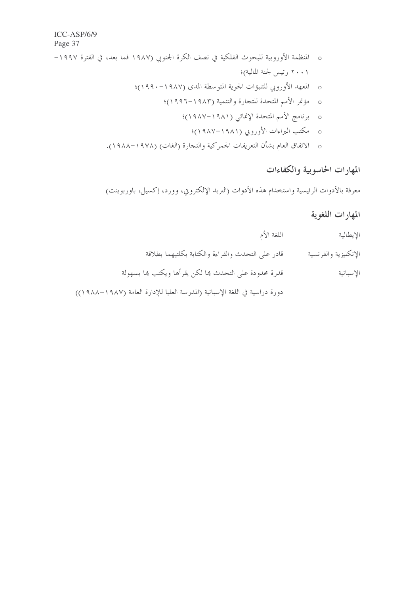- o المنظمة الأوروبية للبحوث الفلكية في نصف الكرة الجنوبي (١٩٨٧ فما بعد، في الفترة ١٩٩٧– ٢٠٠١ رئيس لجنة المالية)؛
	- o المعهد الأوروبي للتنبؤات الجوية المتوسطة المدى (١٩٨٧-١٩٩٠)؛
		- o مؤتمر الأمم المتحدة للتجارة والتنمية (١٩٨٣–١٩٩٦)؛
			- o برنامج الأمم المتحدة الإنمائي (١٩٨١–١٩٨٧)؛
				- o مكتب البراءات الأوروبي (١٩٨١–١٩٨٧)؛
	- o الاتفاق العام بشأن التعريفات الجمركية والتجارة (الغات) (١٩٧٨–١٩٨٨).

# المهارات الحاسوبية والكفاءات

معرفة بالأدوات الرئيسية واستخدام هذه الأدوات (البريد الإلكتروين، وورد، إكسيل، باوربوينت)

# المهارات اللغوية

اللغة الأم الإيطالية قادر على التحدث والقراءة والكتابة بكلتيهما بطلاقة الإنكليزية والفرنسية قدرة محدودة على التحدث ها لكن يقرأها ويكتب ها بسهولة الإسبانية

دورة دراسية في اللغة الإسبانية (المدرسة العليا للإدارة العامة (١٩٨٧–١٩٨٨)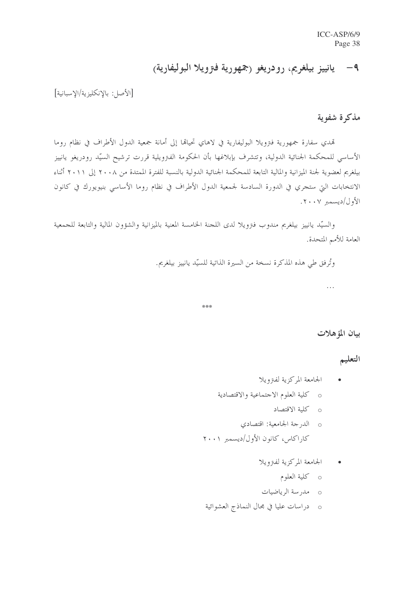# ٩- يانييز بيلغريم، رودريغو (جمهورية فترويلا البوليفارية)

[الأصل: بالإنكليزية/الإسبانية]

#### مذكرة شفوية

تمدي سفارة جمهورية فترويلا البوليفارية في لاهاي تحيالها إلى أمانة جمعية الدول الأطراف في نظام روما الأساسي للمحكمة الجنائية الدولية، وتتشرف بإبلاغها بأن الحكومة الفترويلية قررت ترشيح السيّد رودريغو يانييز بيلغريم لعضوية لجنة الميزانية والمالية التابعة للمحكمة الجنائية الدولية بالنسبة للفترة الممتدة من ٢٠٠٨ إلى ٢٠١١ أثناء الانتخابات التي ستجري في الدورة السادسة لجمعية الدول الأطراف في نظام روما الأساسي بنيويورك في كانون الأول/ديسمبر ٢٠٠٧.

والسيّد يانييز بيلغريم مندوب فترويلا لدى اللجنة الخامسة المعنية بالميزانية والشؤون المالية والتابعة للجمعية العامة للأمم المتحدة.

وتُرفق طي هذه المذكرة نسخة من السيرة الذاتية للسيّد يانييز بيلغريم.

\*\*\*

بيان المؤهلات

 $\ddotsc$ 

التعليم

- الجامعة المركزية لفترويلا
- o كلية العلوم الاجتماعية والاقتصادية
	- o كلية الاقتصاد
- o الدرجة الجامعية: اقتصادي كاراكاس، كانون الأول/ديسمبر ٢٠٠١
	- الجامعة المركزية لفتزويلا  $\bullet$ 
		- o كلية العلوم
	- 0 مد<sub>ا</sub>سة الرياضيات
- 0 دراسات عليا في مجال النماذج العشوائية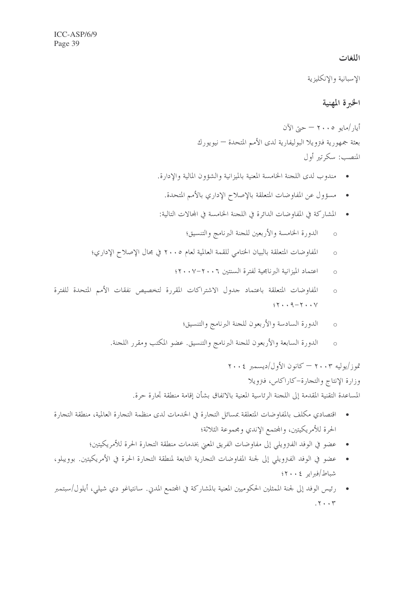#### اللغات

الإسبانية والإنكليزية

#### الخبرة المهنية

أيا, /مايو ٢٠٠٥ – حيّ الآن بعثة جمهورية فنزويلا البوليفارية لدى الأمم المتحدة — نيويورك المنصب: سكرتير أول

- مندوب لدى اللجنة الخامسة المعنية بالميزانية والشؤون المالية والإدارة.
	- مسؤول عن المفاوضات المتعلقة بالإصلاح الإداري بالأمم المتحدة.  $\bullet$
- المشاركة في المفاوضات الدائرة في اللجنة الخامسة في المحالات التالية:
	- الدورة الخامسة والأربعين للجنة البرنامج والتنسيق؛  $\circ$
- المفاوضات المتعلقة بالبيان الختامي للقمة العالمية لعام ٢٠٠٥ في مجال الإصلاح الإداري؛  $\circ$ 
	- اعتماد الميزانية البرنامجية لفترة السنتين ٢٠٠٦-٢٠٠٧  $\circ$
- المفاوضات المتعلقة باعتماد حدول الاشتراكات المقررة لتخصيص نفقات الأمم المتحدة للفترة  $\circ$  $97.49 - 7.4$ 
	- الدورة السادسة والأربعون للجنة البرنامج والتنسيق؛  $\sim$
	- الدورة السابعة والأربعون للجنة البرنامج والتنسيق. عضو المكتب ومقرر اللجنة.  $\circ$

تموز/يوليه ٢٠٠٣ – كانون الأول/ديسمبر ٢٠٠٤ وزارة الإنتاج والتجارة–كاراكاس، فترويلا

المساعدة التقنية المقدمة إلى اللجنة الرئاسية المعنية بالاتفاق بشأن إقامة منطقة تجارة حرة.

- اقتصادي مكلف بالمفاوضات المتعلقة بمسائل التجارة في الخدمات لدى منظمة التجارة العالمية، منطقة التجارة  $\bullet$ الحرة للأمريكيتين، والمحتمع الإندي ومجموعة الثلاثة؛
	- عضو في الوفد الفترويلي إلى مفاوضات الفريق المعنى بخدمات منطقة التجارة الحرة للأمريكيتين؛
- عضوٍ في الوفد الفترويلي إلى لجنة المفاوضات التجارية التابعة لمنطقة التجارة الحرة في الأمريكيتين. بوويبلو، شباط/فبراير ٤٠٠٤؟
- رئيس الوفد إلى لجنة الممثلين الحكوميين المعنية بالمشاركة في المجتمع المدين. سانتياغو دي شيلي، أيلول/سبتمبر  $.7.7$